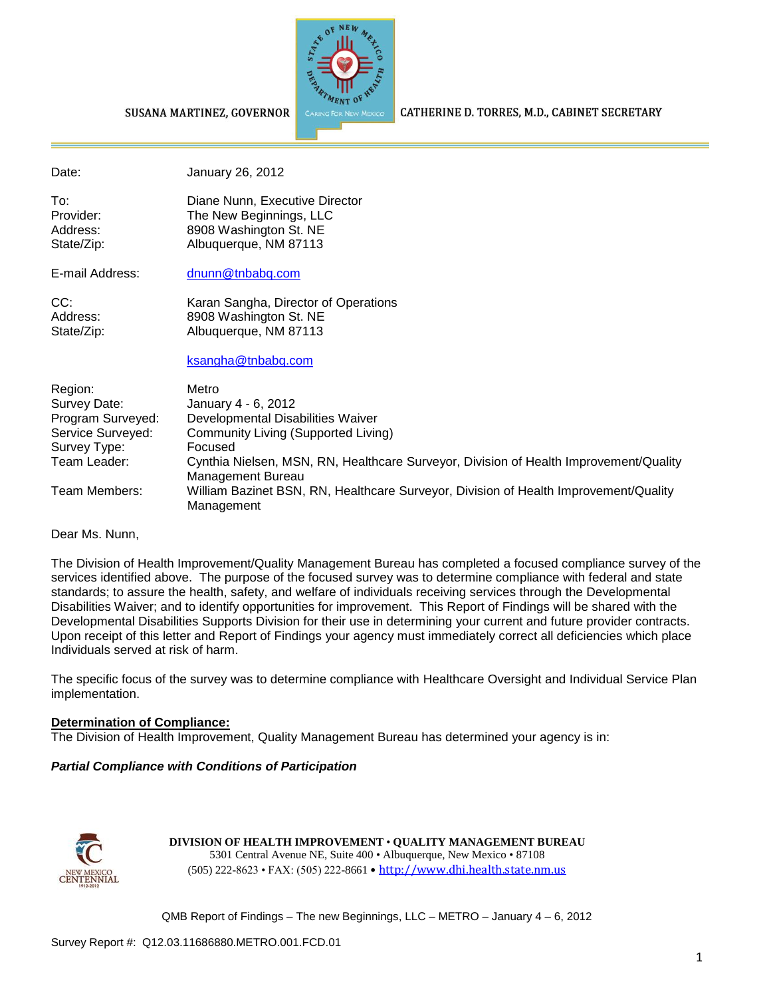

CATHERINE D. TORRES, M.D., CABINET SECRETARY

#### SUSANA MARTINEZ, GOVERNOR

Date: January 26, 2012

To: Diane Nunn, Executive Director Provider: The New Beginnings, LLC Address: 8908 Washington St. NE State/Zip: Albuquerque, NM 87113

E-mail Address: [dnunn@tnbabq.com](mailto:dnunn@tnbabq.com)

CC: Karan Sangha, Director of Operations Address: 8908 Washington St. NE State/Zip: Albuquerque, NM 87113

[ksangha@tnbabq.com](mailto:ksangha@tnbabq.com)

| Region:           | Metro                                                                                                      |
|-------------------|------------------------------------------------------------------------------------------------------------|
| Survey Date:      | January 4 - 6, 2012                                                                                        |
| Program Surveyed: | Developmental Disabilities Waiver                                                                          |
| Service Surveyed: | Community Living (Supported Living)                                                                        |
| Survey Type:      | Focused                                                                                                    |
| Team Leader:      | Cynthia Nielsen, MSN, RN, Healthcare Surveyor, Division of Health Improvement/Quality<br>Management Bureau |
| Team Members:     | William Bazinet BSN, RN, Healthcare Surveyor, Division of Health Improvement/Quality<br>Management         |

Dear Ms. Nunn,

The Division of Health Improvement/Quality Management Bureau has completed a focused compliance survey of the services identified above. The purpose of the focused survey was to determine compliance with federal and state standards; to assure the health, safety, and welfare of individuals receiving services through the Developmental Disabilities Waiver; and to identify opportunities for improvement. This Report of Findings will be shared with the Developmental Disabilities Supports Division for their use in determining your current and future provider contracts. Upon receipt of this letter and Report of Findings your agency must immediately correct all deficiencies which place Individuals served at risk of harm.

The specific focus of the survey was to determine compliance with Healthcare Oversight and Individual Service Plan implementation.

#### **Determination of Compliance:**

The Division of Health Improvement, Quality Management Bureau has determined your agency is in:

#### *Partial Compliance with Conditions of Participation*



**DIVISION OF HEALTH IMPROVEMENT** • **QUALITY MANAGEMENT BUREAU** 5301 Central Avenue NE, Suite 400 • Albuquerque, New Mexico • 87108 (505) 222-8623 • FAX: (505) 222-8661 • http://www.dhi.health.state.nm.us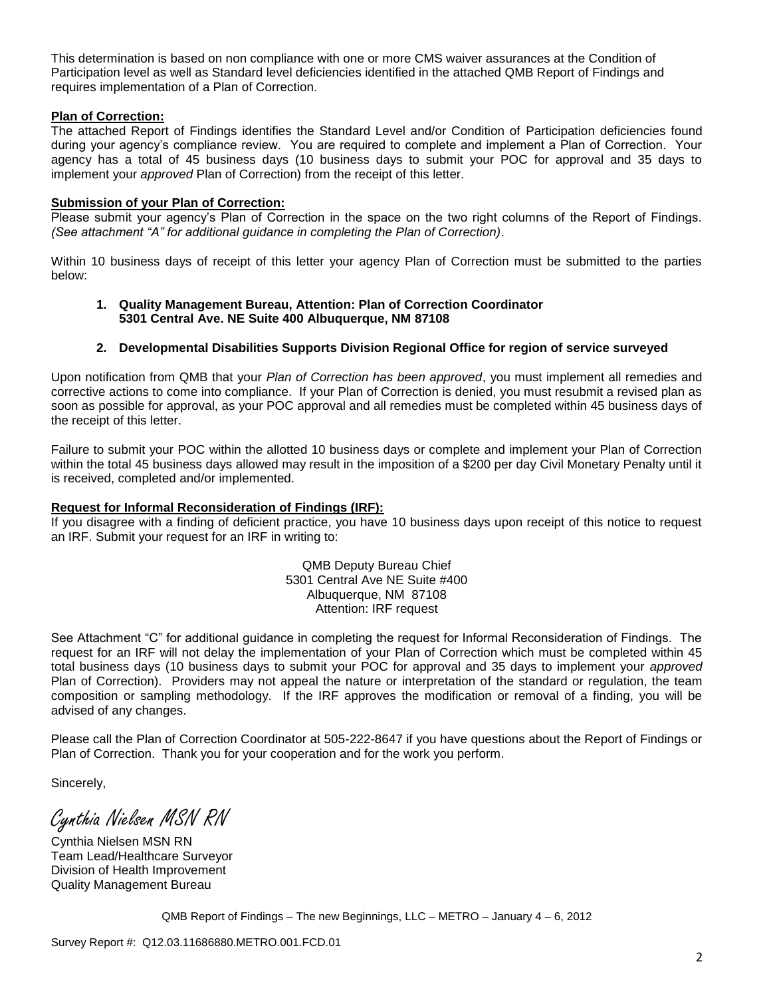This determination is based on non compliance with one or more CMS waiver assurances at the Condition of Participation level as well as Standard level deficiencies identified in the attached QMB Report of Findings and requires implementation of a Plan of Correction.

#### **Plan of Correction:**

The attached Report of Findings identifies the Standard Level and/or Condition of Participation deficiencies found during your agency's compliance review. You are required to complete and implement a Plan of Correction. Your agency has a total of 45 business days (10 business days to submit your POC for approval and 35 days to implement your *approved* Plan of Correction) from the receipt of this letter.

#### **Submission of your Plan of Correction:**

Please submit your agency's Plan of Correction in the space on the two right columns of the Report of Findings. *(See attachment "A" for additional guidance in completing the Plan of Correction)*.

Within 10 business days of receipt of this letter your agency Plan of Correction must be submitted to the parties below:

#### **1. Quality Management Bureau, Attention: Plan of Correction Coordinator 5301 Central Ave. NE Suite 400 Albuquerque, NM 87108**

#### **2. Developmental Disabilities Supports Division Regional Office for region of service surveyed**

Upon notification from QMB that your *Plan of Correction has been approved*, you must implement all remedies and corrective actions to come into compliance. If your Plan of Correction is denied, you must resubmit a revised plan as soon as possible for approval, as your POC approval and all remedies must be completed within 45 business days of the receipt of this letter.

Failure to submit your POC within the allotted 10 business days or complete and implement your Plan of Correction within the total 45 business days allowed may result in the imposition of a \$200 per day Civil Monetary Penalty until it is received, completed and/or implemented.

#### **Request for Informal Reconsideration of Findings (IRF):**

If you disagree with a finding of deficient practice, you have 10 business days upon receipt of this notice to request an IRF. Submit your request for an IRF in writing to:

> QMB Deputy Bureau Chief 5301 Central Ave NE Suite #400 Albuquerque, NM 87108 Attention: IRF request

See Attachment "C" for additional guidance in completing the request for Informal Reconsideration of Findings. The request for an IRF will not delay the implementation of your Plan of Correction which must be completed within 45 total business days (10 business days to submit your POC for approval and 35 days to implement your *approved* Plan of Correction). Providers may not appeal the nature or interpretation of the standard or regulation, the team composition or sampling methodology. If the IRF approves the modification or removal of a finding, you will be advised of any changes.

Please call the Plan of Correction Coordinator at 505-222-8647 if you have questions about the Report of Findings or Plan of Correction. Thank you for your cooperation and for the work you perform.

Sincerely,

Cynthia Nielsen MSN RN

Cynthia Nielsen MSN RN Team Lead/Healthcare Surveyor Division of Health Improvement Quality Management Bureau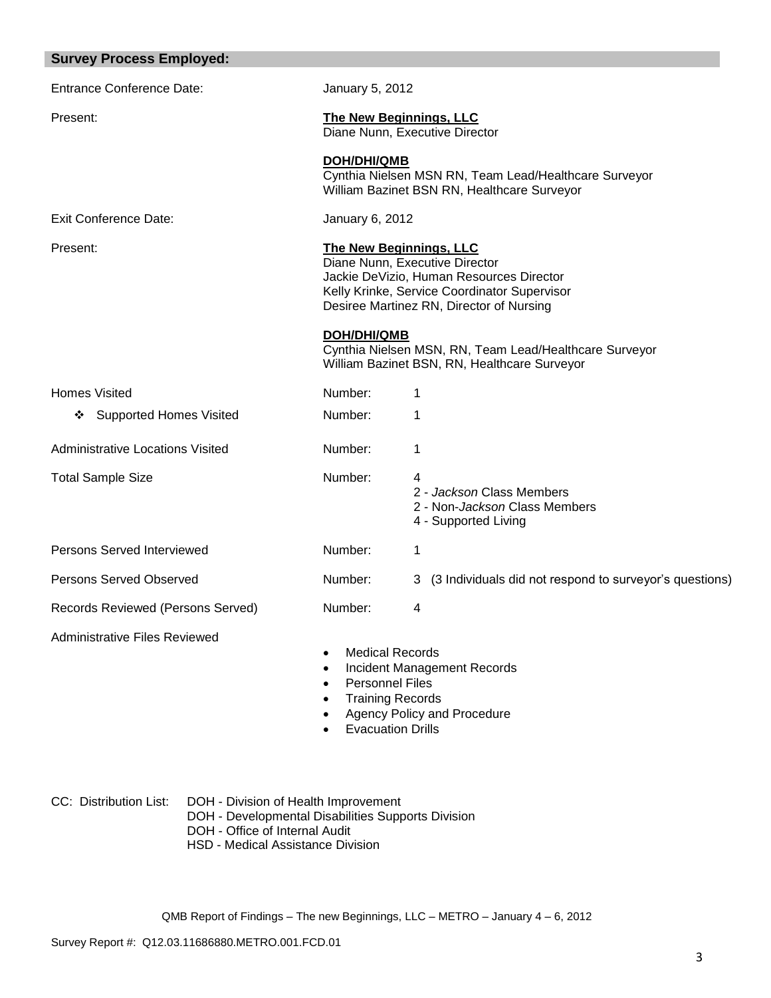| <b>Survey Process Employed:</b>         |                                                                                                                                                                                                          |                                                                                                        |
|-----------------------------------------|----------------------------------------------------------------------------------------------------------------------------------------------------------------------------------------------------------|--------------------------------------------------------------------------------------------------------|
| <b>Entrance Conference Date:</b>        | January 5, 2012                                                                                                                                                                                          |                                                                                                        |
| Present:                                | <b>The New Beginnings, LLC</b><br>Diane Nunn, Executive Director                                                                                                                                         |                                                                                                        |
|                                         | <b>DOH/DHI/QMB</b>                                                                                                                                                                                       | Cynthia Nielsen MSN RN, Team Lead/Healthcare Surveyor<br>William Bazinet BSN RN, Healthcare Surveyor   |
| <b>Exit Conference Date:</b>            | January 6, 2012                                                                                                                                                                                          |                                                                                                        |
| Present:                                | <b>The New Beginnings, LLC</b><br>Diane Nunn, Executive Director<br>Jackie DeVizio, Human Resources Director<br>Kelly Krinke, Service Coordinator Supervisor<br>Desiree Martinez RN, Director of Nursing |                                                                                                        |
|                                         | <b>DOH/DHI/QMB</b>                                                                                                                                                                                       | Cynthia Nielsen MSN, RN, Team Lead/Healthcare Surveyor<br>William Bazinet BSN, RN, Healthcare Surveyor |
| <b>Homes Visited</b>                    | Number:                                                                                                                                                                                                  | 1                                                                                                      |
| ❖ Supported Homes Visited               | Number:                                                                                                                                                                                                  | 1                                                                                                      |
| <b>Administrative Locations Visited</b> | Number:                                                                                                                                                                                                  | 1                                                                                                      |
| <b>Total Sample Size</b>                | Number:                                                                                                                                                                                                  | 4<br>2 - Jackson Class Members<br>2 - Non- <i>Jackson</i> Class Members<br>4 - Supported Living        |
| Persons Served Interviewed              | Number:                                                                                                                                                                                                  | 1                                                                                                      |
| <b>Persons Served Observed</b>          | Number:                                                                                                                                                                                                  | (3 Individuals did not respond to surveyor's questions)<br>3                                           |
| Records Reviewed (Persons Served)       | Number:                                                                                                                                                                                                  | 4                                                                                                      |
| <b>Administrative Files Reviewed</b>    | <b>Medical Records</b><br>$\bullet$<br><b>Personnel Files</b><br><b>Training Records</b><br><b>Evacuation Drills</b>                                                                                     | <b>Incident Management Records</b><br>Agency Policy and Procedure                                      |

CC: Distribution List: DOH - Division of Health Improvement DOH - Developmental Disabilities Supports Division

- DOH Office of Internal Audit
- HSD Medical Assistance Division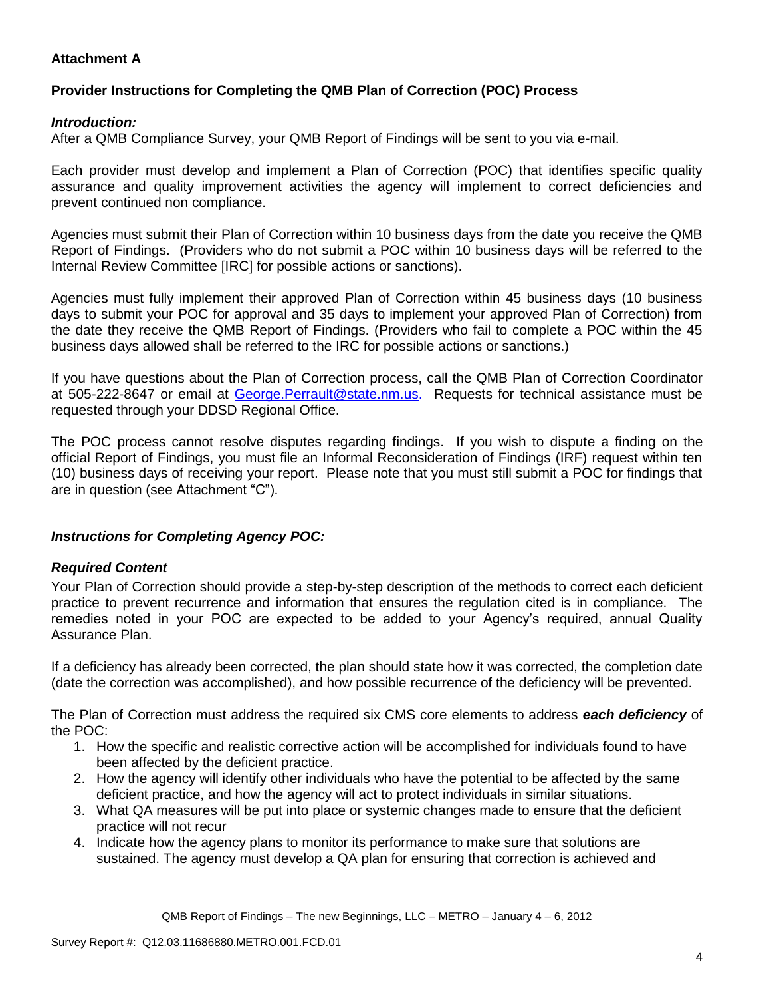## **Attachment A**

# **Provider Instructions for Completing the QMB Plan of Correction (POC) Process**

### *Introduction:*

After a QMB Compliance Survey, your QMB Report of Findings will be sent to you via e-mail.

Each provider must develop and implement a Plan of Correction (POC) that identifies specific quality assurance and quality improvement activities the agency will implement to correct deficiencies and prevent continued non compliance.

Agencies must submit their Plan of Correction within 10 business days from the date you receive the QMB Report of Findings. (Providers who do not submit a POC within 10 business days will be referred to the Internal Review Committee [IRC] for possible actions or sanctions).

Agencies must fully implement their approved Plan of Correction within 45 business days (10 business days to submit your POC for approval and 35 days to implement your approved Plan of Correction) from the date they receive the QMB Report of Findings. (Providers who fail to complete a POC within the 45 business days allowed shall be referred to the IRC for possible actions or sanctions.)

If you have questions about the Plan of Correction process, call the QMB Plan of Correction Coordinator at 505-222-8647 or email at George. Perrault@state.nm.us. Requests for technical assistance must be requested through your DDSD Regional Office.

The POC process cannot resolve disputes regarding findings. If you wish to dispute a finding on the official Report of Findings, you must file an Informal Reconsideration of Findings (IRF) request within ten (10) business days of receiving your report. Please note that you must still submit a POC for findings that are in question (see Attachment "C").

## *Instructions for Completing Agency POC:*

## *Required Content*

Your Plan of Correction should provide a step-by-step description of the methods to correct each deficient practice to prevent recurrence and information that ensures the regulation cited is in compliance. The remedies noted in your POC are expected to be added to your Agency's required, annual Quality Assurance Plan.

If a deficiency has already been corrected, the plan should state how it was corrected, the completion date (date the correction was accomplished), and how possible recurrence of the deficiency will be prevented.

The Plan of Correction must address the required six CMS core elements to address *each deficiency* of the POC:

- 1. How the specific and realistic corrective action will be accomplished for individuals found to have been affected by the deficient practice.
- 2. How the agency will identify other individuals who have the potential to be affected by the same deficient practice, and how the agency will act to protect individuals in similar situations.
- 3. What QA measures will be put into place or systemic changes made to ensure that the deficient practice will not recur
- 4. Indicate how the agency plans to monitor its performance to make sure that solutions are sustained. The agency must develop a QA plan for ensuring that correction is achieved and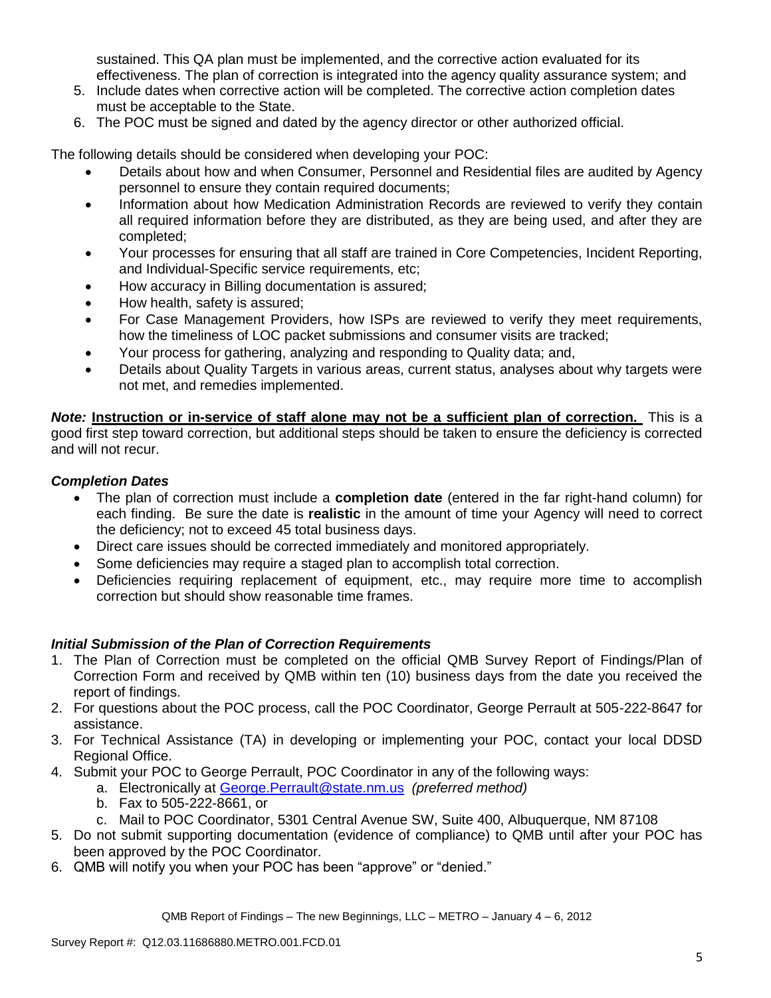sustained. This QA plan must be implemented, and the corrective action evaluated for its effectiveness. The plan of correction is integrated into the agency quality assurance system; and

- 5. Include dates when corrective action will be completed. The corrective action completion dates must be acceptable to the State.
- 6. The POC must be signed and dated by the agency director or other authorized official.

The following details should be considered when developing your POC:

- Details about how and when Consumer, Personnel and Residential files are audited by Agency personnel to ensure they contain required documents;
- Information about how Medication Administration Records are reviewed to verify they contain all required information before they are distributed, as they are being used, and after they are completed;
- Your processes for ensuring that all staff are trained in Core Competencies, Incident Reporting, and Individual-Specific service requirements, etc;
- How accuracy in Billing documentation is assured;
- How health, safety is assured;
- For Case Management Providers, how ISPs are reviewed to verify they meet requirements, how the timeliness of LOC packet submissions and consumer visits are tracked;
- Your process for gathering, analyzing and responding to Quality data; and,
- Details about Quality Targets in various areas, current status, analyses about why targets were not met, and remedies implemented.

*Note:* **Instruction or in-service of staff alone may not be a sufficient plan of correction.** This is a good first step toward correction, but additional steps should be taken to ensure the deficiency is corrected and will not recur.

## *Completion Dates*

- The plan of correction must include a **completion date** (entered in the far right-hand column) for each finding. Be sure the date is **realistic** in the amount of time your Agency will need to correct the deficiency; not to exceed 45 total business days.
- Direct care issues should be corrected immediately and monitored appropriately.
- Some deficiencies may require a staged plan to accomplish total correction.
- Deficiencies requiring replacement of equipment, etc., may require more time to accomplish correction but should show reasonable time frames.

## *Initial Submission of the Plan of Correction Requirements*

- 1. The Plan of Correction must be completed on the official QMB Survey Report of Findings/Plan of Correction Form and received by QMB within ten (10) business days from the date you received the report of findings.
- 2. For questions about the POC process, call the POC Coordinator, George Perrault at 505-222-8647 for assistance.
- 3. For Technical Assistance (TA) in developing or implementing your POC, contact your local DDSD Regional Office.
- 4. Submit your POC to George Perrault, POC Coordinator in any of the following ways:
	- a. Electronically at [George.Perrault@state.nm.us](mailto:George.Perrault@state.nm.us) *(preferred method)*
	- b. Fax to 505-222-8661, or
	- c. Mail to POC Coordinator, 5301 Central Avenue SW, Suite 400, Albuquerque, NM 87108
- 5. Do not submit supporting documentation (evidence of compliance) to QMB until after your POC has been approved by the POC Coordinator.
- 6. QMB will notify you when your POC has been "approve" or "denied."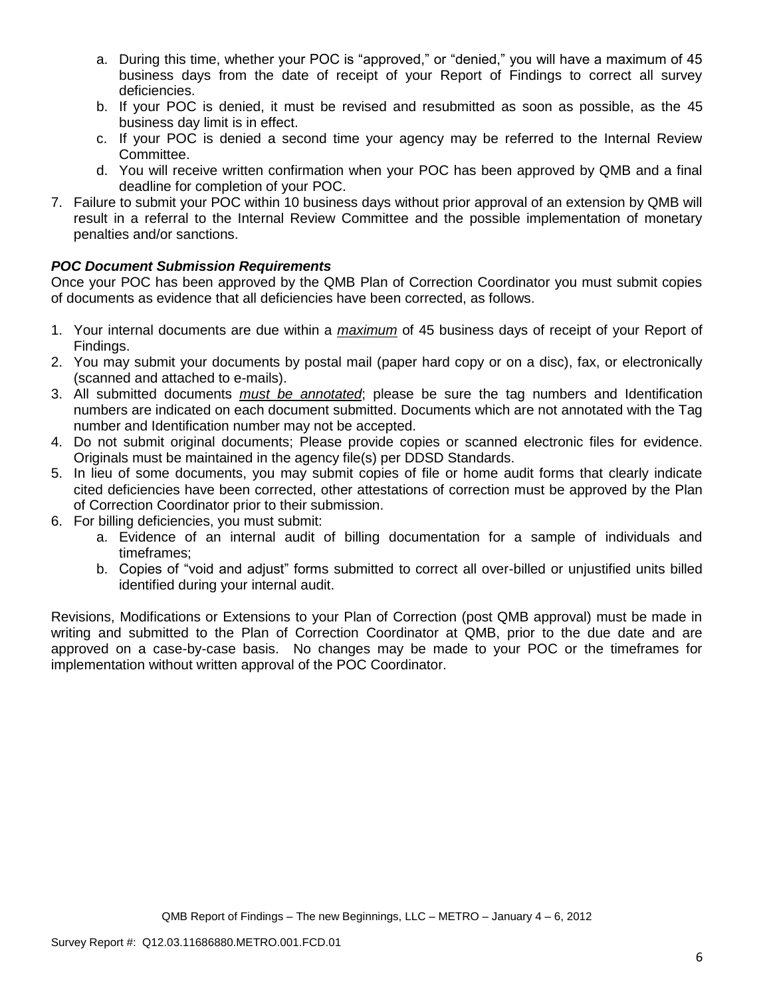- a. During this time, whether your POC is "approved," or "denied," you will have a maximum of 45 business days from the date of receipt of your Report of Findings to correct all survey deficiencies.
- b. If your POC is denied, it must be revised and resubmitted as soon as possible, as the 45 business day limit is in effect.
- c. If your POC is denied a second time your agency may be referred to the Internal Review Committee.
- d. You will receive written confirmation when your POC has been approved by QMB and a final deadline for completion of your POC.
- 7. Failure to submit your POC within 10 business days without prior approval of an extension by QMB will result in a referral to the Internal Review Committee and the possible implementation of monetary penalties and/or sanctions.

# *POC Document Submission Requirements*

Once your POC has been approved by the QMB Plan of Correction Coordinator you must submit copies of documents as evidence that all deficiencies have been corrected, as follows.

- 1. Your internal documents are due within a *maximum* of 45 business days of receipt of your Report of Findings.
- 2. You may submit your documents by postal mail (paper hard copy or on a disc), fax, or electronically (scanned and attached to e-mails).
- 3. All submitted documents *must be annotated*; please be sure the tag numbers and Identification numbers are indicated on each document submitted. Documents which are not annotated with the Tag number and Identification number may not be accepted.
- 4. Do not submit original documents; Please provide copies or scanned electronic files for evidence. Originals must be maintained in the agency file(s) per DDSD Standards.
- 5. In lieu of some documents, you may submit copies of file or home audit forms that clearly indicate cited deficiencies have been corrected, other attestations of correction must be approved by the Plan of Correction Coordinator prior to their submission.
- 6. For billing deficiencies, you must submit:
	- a. Evidence of an internal audit of billing documentation for a sample of individuals and timeframes;
	- b. Copies of "void and adjust" forms submitted to correct all over-billed or unjustified units billed identified during your internal audit.

Revisions, Modifications or Extensions to your Plan of Correction (post QMB approval) must be made in writing and submitted to the Plan of Correction Coordinator at QMB, prior to the due date and are approved on a case-by-case basis. No changes may be made to your POC or the timeframes for implementation without written approval of the POC Coordinator.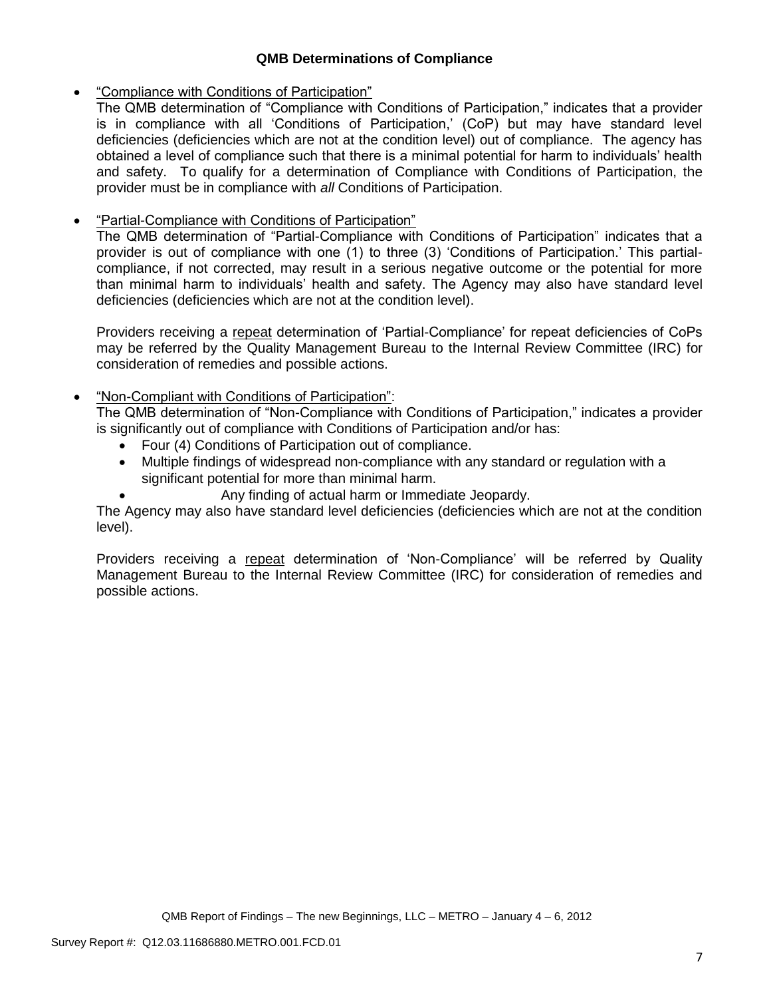## **QMB Determinations of Compliance**

## "Compliance with Conditions of Participation"

The QMB determination of "Compliance with Conditions of Participation," indicates that a provider is in compliance with all 'Conditions of Participation,' (CoP) but may have standard level deficiencies (deficiencies which are not at the condition level) out of compliance. The agency has obtained a level of compliance such that there is a minimal potential for harm to individuals' health and safety. To qualify for a determination of Compliance with Conditions of Participation, the provider must be in compliance with *all* Conditions of Participation.

# "Partial-Compliance with Conditions of Participation"

The QMB determination of "Partial-Compliance with Conditions of Participation" indicates that a provider is out of compliance with one (1) to three (3) 'Conditions of Participation.' This partialcompliance, if not corrected, may result in a serious negative outcome or the potential for more than minimal harm to individuals' health and safety. The Agency may also have standard level deficiencies (deficiencies which are not at the condition level).

Providers receiving a repeat determination of 'Partial-Compliance' for repeat deficiencies of CoPs may be referred by the Quality Management Bureau to the Internal Review Committee (IRC) for consideration of remedies and possible actions.

# "Non-Compliant with Conditions of Participation":

The QMB determination of "Non-Compliance with Conditions of Participation," indicates a provider is significantly out of compliance with Conditions of Participation and/or has:

- Four (4) Conditions of Participation out of compliance.
- Multiple findings of widespread non-compliance with any standard or regulation with a significant potential for more than minimal harm.
	- Any finding of actual harm or Immediate Jeopardy.

The Agency may also have standard level deficiencies (deficiencies which are not at the condition level).

Providers receiving a repeat determination of 'Non-Compliance' will be referred by Quality Management Bureau to the Internal Review Committee (IRC) for consideration of remedies and possible actions.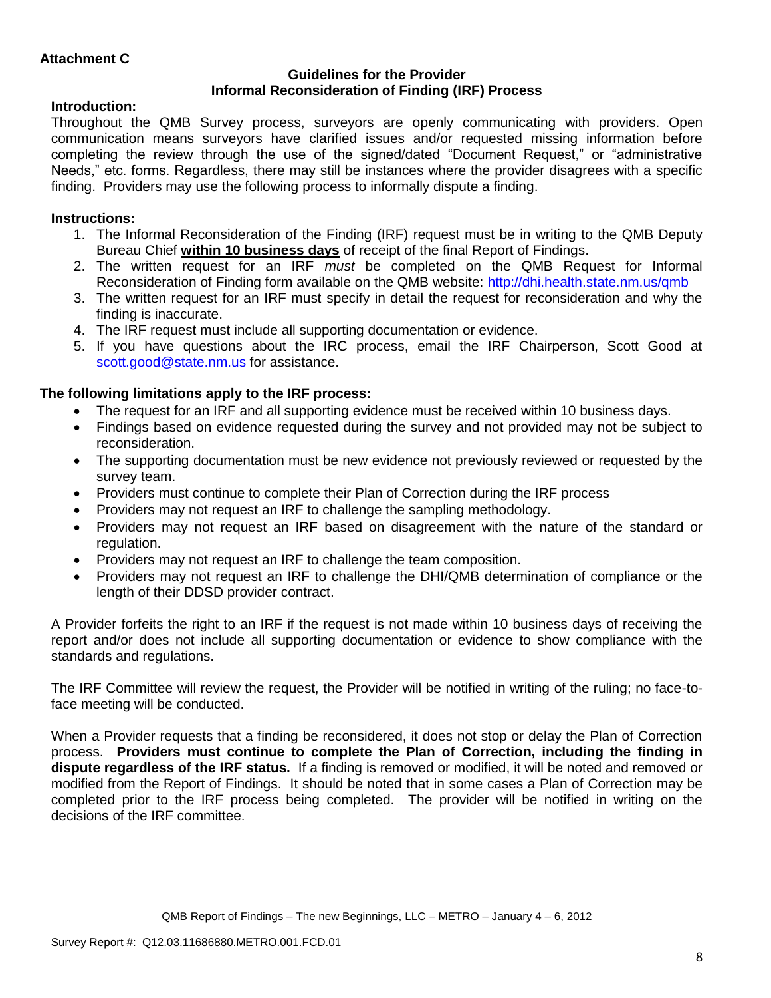### **Guidelines for the Provider Informal Reconsideration of Finding (IRF) Process**

# **Introduction:**

Throughout the QMB Survey process, surveyors are openly communicating with providers. Open communication means surveyors have clarified issues and/or requested missing information before completing the review through the use of the signed/dated "Document Request," or "administrative Needs," etc. forms. Regardless, there may still be instances where the provider disagrees with a specific finding. Providers may use the following process to informally dispute a finding.

# **Instructions:**

- 1. The Informal Reconsideration of the Finding (IRF) request must be in writing to the QMB Deputy Bureau Chief **within 10 business days** of receipt of the final Report of Findings.
- 2. The written request for an IRF *must* be completed on the QMB Request for Informal Reconsideration of Finding form available on the QMB website:<http://dhi.health.state.nm.us/qmb>
- 3. The written request for an IRF must specify in detail the request for reconsideration and why the finding is inaccurate.
- 4. The IRF request must include all supporting documentation or evidence.
- 5. If you have questions about the IRC process, email the IRF Chairperson, Scott Good at [scott.good@state.nm.us](mailto:scott.good@state.nm.us) for assistance.

# **The following limitations apply to the IRF process:**

- The request for an IRF and all supporting evidence must be received within 10 business days.
- Findings based on evidence requested during the survey and not provided may not be subject to reconsideration.
- The supporting documentation must be new evidence not previously reviewed or requested by the survey team.
- Providers must continue to complete their Plan of Correction during the IRF process
- Providers may not request an IRF to challenge the sampling methodology.
- Providers may not request an IRF based on disagreement with the nature of the standard or regulation.
- Providers may not request an IRF to challenge the team composition.
- Providers may not request an IRF to challenge the DHI/QMB determination of compliance or the length of their DDSD provider contract.

A Provider forfeits the right to an IRF if the request is not made within 10 business days of receiving the report and/or does not include all supporting documentation or evidence to show compliance with the standards and regulations.

The IRF Committee will review the request, the Provider will be notified in writing of the ruling; no face-toface meeting will be conducted.

When a Provider requests that a finding be reconsidered, it does not stop or delay the Plan of Correction process. **Providers must continue to complete the Plan of Correction, including the finding in dispute regardless of the IRF status.** If a finding is removed or modified, it will be noted and removed or modified from the Report of Findings. It should be noted that in some cases a Plan of Correction may be completed prior to the IRF process being completed. The provider will be notified in writing on the decisions of the IRF committee.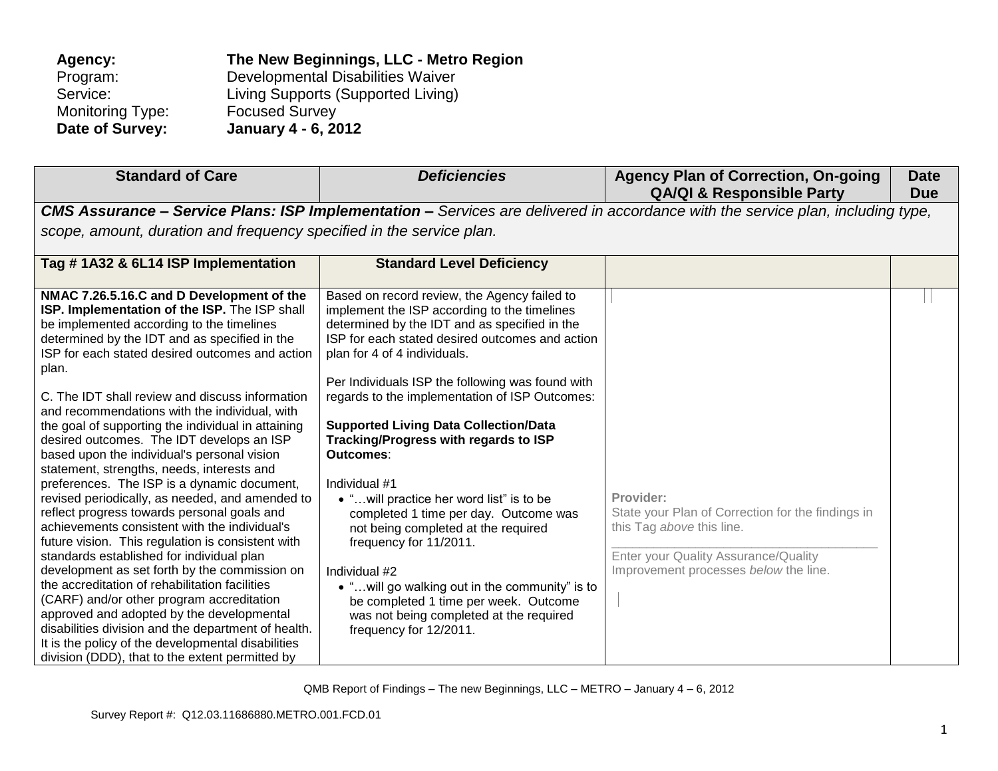| The New Beginnings, LLC - Metro Region |
|----------------------------------------|
| Developmental Disabilities Waiver      |
| Living Supports (Supported Living)     |
| <b>Focused Survey</b>                  |
| <b>January 4 - 6, 2012</b>             |
|                                        |

| <b>Standard of Care</b>                                                                                                                                                                                                                                                                                                                                                                                                                                                                                                                                                                                                                                                                                                                                                                                                                                                                                                                                                                                                                                                                                                                                                                                                   | <b>Deficiencies</b>                                                                                                                                                                                                                                                                                                                                                                                                                                                                                                                                                                                                                                                                                                                                                                                   | <b>Agency Plan of Correction, On-going</b><br><b>QA/QI &amp; Responsible Party</b>                                                                                           | <b>Date</b><br><b>Due</b> |
|---------------------------------------------------------------------------------------------------------------------------------------------------------------------------------------------------------------------------------------------------------------------------------------------------------------------------------------------------------------------------------------------------------------------------------------------------------------------------------------------------------------------------------------------------------------------------------------------------------------------------------------------------------------------------------------------------------------------------------------------------------------------------------------------------------------------------------------------------------------------------------------------------------------------------------------------------------------------------------------------------------------------------------------------------------------------------------------------------------------------------------------------------------------------------------------------------------------------------|-------------------------------------------------------------------------------------------------------------------------------------------------------------------------------------------------------------------------------------------------------------------------------------------------------------------------------------------------------------------------------------------------------------------------------------------------------------------------------------------------------------------------------------------------------------------------------------------------------------------------------------------------------------------------------------------------------------------------------------------------------------------------------------------------------|------------------------------------------------------------------------------------------------------------------------------------------------------------------------------|---------------------------|
|                                                                                                                                                                                                                                                                                                                                                                                                                                                                                                                                                                                                                                                                                                                                                                                                                                                                                                                                                                                                                                                                                                                                                                                                                           |                                                                                                                                                                                                                                                                                                                                                                                                                                                                                                                                                                                                                                                                                                                                                                                                       | <b>CMS Assurance – Service Plans: ISP Implementation –</b> Services are delivered in accordance with the service plan, including type,                                       |                           |
| scope, amount, duration and frequency specified in the service plan.                                                                                                                                                                                                                                                                                                                                                                                                                                                                                                                                                                                                                                                                                                                                                                                                                                                                                                                                                                                                                                                                                                                                                      |                                                                                                                                                                                                                                                                                                                                                                                                                                                                                                                                                                                                                                                                                                                                                                                                       |                                                                                                                                                                              |                           |
| Tag #1A32 & 6L14 ISP Implementation                                                                                                                                                                                                                                                                                                                                                                                                                                                                                                                                                                                                                                                                                                                                                                                                                                                                                                                                                                                                                                                                                                                                                                                       | <b>Standard Level Deficiency</b>                                                                                                                                                                                                                                                                                                                                                                                                                                                                                                                                                                                                                                                                                                                                                                      |                                                                                                                                                                              |                           |
| NMAC 7.26.5.16.C and D Development of the<br>ISP. Implementation of the ISP. The ISP shall<br>be implemented according to the timelines<br>determined by the IDT and as specified in the<br>ISP for each stated desired outcomes and action<br>plan.<br>C. The IDT shall review and discuss information<br>and recommendations with the individual, with<br>the goal of supporting the individual in attaining<br>desired outcomes. The IDT develops an ISP<br>based upon the individual's personal vision<br>statement, strengths, needs, interests and<br>preferences. The ISP is a dynamic document,<br>revised periodically, as needed, and amended to<br>reflect progress towards personal goals and<br>achievements consistent with the individual's<br>future vision. This regulation is consistent with<br>standards established for individual plan<br>development as set forth by the commission on<br>the accreditation of rehabilitation facilities<br>(CARF) and/or other program accreditation<br>approved and adopted by the developmental<br>disabilities division and the department of health.<br>It is the policy of the developmental disabilities<br>division (DDD), that to the extent permitted by | Based on record review, the Agency failed to<br>implement the ISP according to the timelines<br>determined by the IDT and as specified in the<br>ISP for each stated desired outcomes and action<br>plan for 4 of 4 individuals.<br>Per Individuals ISP the following was found with<br>regards to the implementation of ISP Outcomes:<br><b>Supported Living Data Collection/Data</b><br>Tracking/Progress with regards to ISP<br>Outcomes:<br>Individual #1<br>• " will practice her word list" is to be<br>completed 1 time per day. Outcome was<br>not being completed at the required<br>frequency for 11/2011.<br>Individual #2<br>• "will go walking out in the community" is to<br>be completed 1 time per week. Outcome<br>was not being completed at the required<br>frequency for 12/2011. | Provider:<br>State your Plan of Correction for the findings in<br>this Tag above this line.<br>Enter your Quality Assurance/Quality<br>Improvement processes below the line. |                           |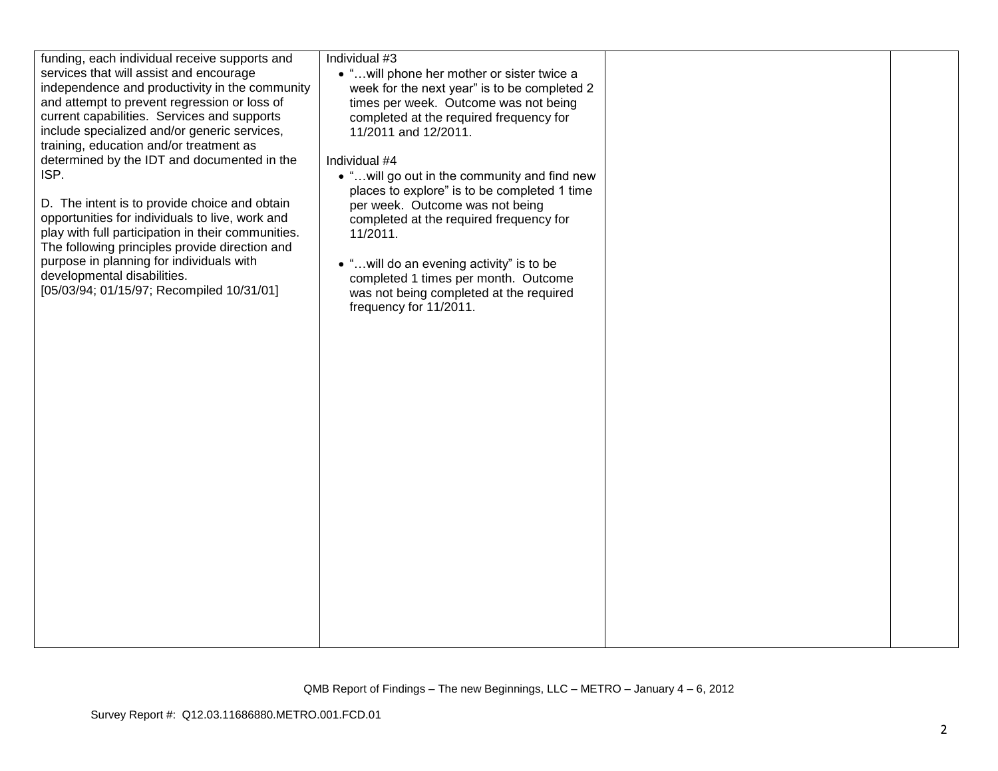| funding, each individual receive supports and<br>services that will assist and encourage<br>independence and productivity in the community<br>and attempt to prevent regression or loss of<br>current capabilities. Services and supports<br>include specialized and/or generic services,<br>training, education and/or treatment as<br>determined by the IDT and documented in the<br>ISP.<br>D. The intent is to provide choice and obtain<br>opportunities for individuals to live, work and<br>play with full participation in their communities.<br>The following principles provide direction and<br>purpose in planning for individuals with<br>developmental disabilities.<br>[05/03/94; 01/15/97; Recompiled 10/31/01] | Individual #3<br>• " will phone her mother or sister twice a<br>week for the next year" is to be completed 2<br>times per week. Outcome was not being<br>completed at the required frequency for<br>11/2011 and 12/2011.<br>Individual #4<br>• "will go out in the community and find new<br>places to explore" is to be completed 1 time<br>per week. Outcome was not being<br>completed at the required frequency for<br>11/2011.<br>• "will do an evening activity" is to be<br>completed 1 times per month. Outcome<br>was not being completed at the required<br>frequency for 11/2011. |  |  |
|---------------------------------------------------------------------------------------------------------------------------------------------------------------------------------------------------------------------------------------------------------------------------------------------------------------------------------------------------------------------------------------------------------------------------------------------------------------------------------------------------------------------------------------------------------------------------------------------------------------------------------------------------------------------------------------------------------------------------------|----------------------------------------------------------------------------------------------------------------------------------------------------------------------------------------------------------------------------------------------------------------------------------------------------------------------------------------------------------------------------------------------------------------------------------------------------------------------------------------------------------------------------------------------------------------------------------------------|--|--|
|---------------------------------------------------------------------------------------------------------------------------------------------------------------------------------------------------------------------------------------------------------------------------------------------------------------------------------------------------------------------------------------------------------------------------------------------------------------------------------------------------------------------------------------------------------------------------------------------------------------------------------------------------------------------------------------------------------------------------------|----------------------------------------------------------------------------------------------------------------------------------------------------------------------------------------------------------------------------------------------------------------------------------------------------------------------------------------------------------------------------------------------------------------------------------------------------------------------------------------------------------------------------------------------------------------------------------------------|--|--|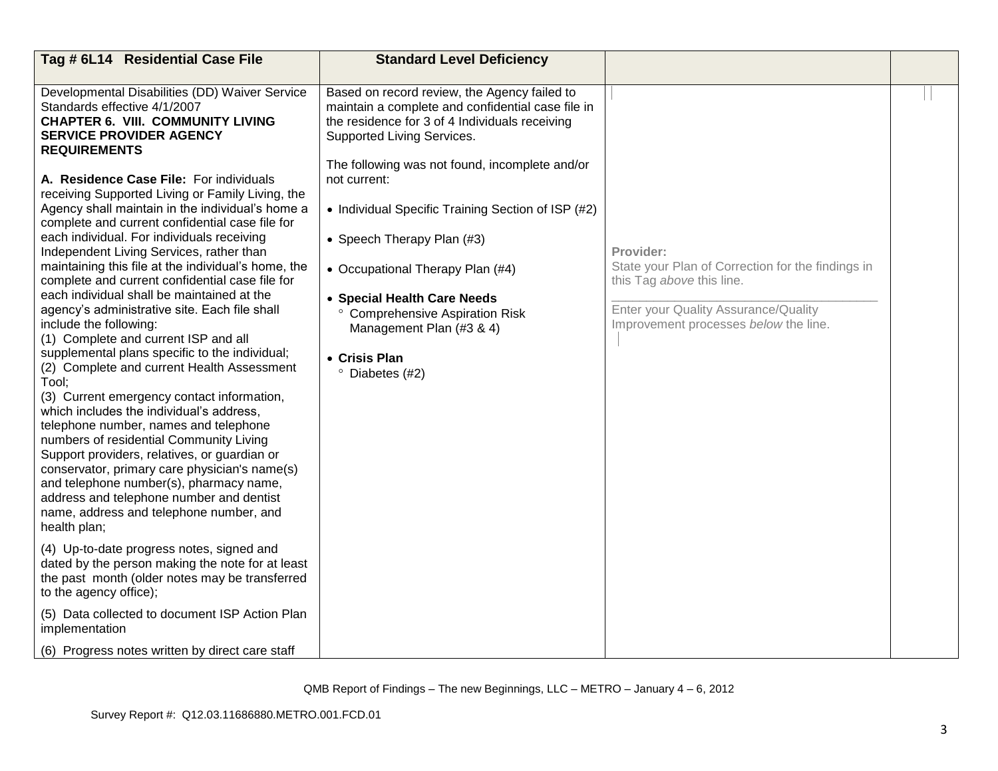| Tag # 6L14 Residential Case File                                                                                                                                                                                                                                                                                                                                                                                                                                                                                                                                                                                                                                                                        | <b>Standard Level Deficiency</b>                                                                                                                                                  |                                                                                |  |
|---------------------------------------------------------------------------------------------------------------------------------------------------------------------------------------------------------------------------------------------------------------------------------------------------------------------------------------------------------------------------------------------------------------------------------------------------------------------------------------------------------------------------------------------------------------------------------------------------------------------------------------------------------------------------------------------------------|-----------------------------------------------------------------------------------------------------------------------------------------------------------------------------------|--------------------------------------------------------------------------------|--|
|                                                                                                                                                                                                                                                                                                                                                                                                                                                                                                                                                                                                                                                                                                         |                                                                                                                                                                                   |                                                                                |  |
| Developmental Disabilities (DD) Waiver Service<br>Standards effective 4/1/2007<br><b>CHAPTER 6. VIII. COMMUNITY LIVING</b><br><b>SERVICE PROVIDER AGENCY</b><br><b>REQUIREMENTS</b>                                                                                                                                                                                                                                                                                                                                                                                                                                                                                                                     | Based on record review, the Agency failed to<br>maintain a complete and confidential case file in<br>the residence for 3 of 4 Individuals receiving<br>Supported Living Services. |                                                                                |  |
| A. Residence Case File: For individuals<br>receiving Supported Living or Family Living, the                                                                                                                                                                                                                                                                                                                                                                                                                                                                                                                                                                                                             | The following was not found, incomplete and/or<br>not current:                                                                                                                    |                                                                                |  |
| Agency shall maintain in the individual's home a<br>complete and current confidential case file for                                                                                                                                                                                                                                                                                                                                                                                                                                                                                                                                                                                                     | • Individual Specific Training Section of ISP (#2)                                                                                                                                |                                                                                |  |
| each individual. For individuals receiving<br>Independent Living Services, rather than                                                                                                                                                                                                                                                                                                                                                                                                                                                                                                                                                                                                                  | • Speech Therapy Plan (#3)                                                                                                                                                        | Provider:                                                                      |  |
| maintaining this file at the individual's home, the<br>complete and current confidential case file for                                                                                                                                                                                                                                                                                                                                                                                                                                                                                                                                                                                                  | • Occupational Therapy Plan (#4)                                                                                                                                                  | State your Plan of Correction for the findings in<br>this Tag above this line. |  |
| each individual shall be maintained at the<br>agency's administrative site. Each file shall<br>include the following:<br>(1) Complete and current ISP and all<br>supplemental plans specific to the individual;<br>(2) Complete and current Health Assessment<br>Tool:<br>(3) Current emergency contact information,<br>which includes the individual's address,<br>telephone number, names and telephone<br>numbers of residential Community Living<br>Support providers, relatives, or guardian or<br>conservator, primary care physician's name(s)<br>and telephone number(s), pharmacy name,<br>address and telephone number and dentist<br>name, address and telephone number, and<br>health plan; | • Special Health Care Needs<br>° Comprehensive Aspiration Risk<br>Management Plan (#3 & 4)<br>• Crisis Plan<br><sup>o</sup> Diabetes (#2)                                         | Enter your Quality Assurance/Quality<br>Improvement processes below the line.  |  |
| (4) Up-to-date progress notes, signed and<br>dated by the person making the note for at least<br>the past month (older notes may be transferred<br>to the agency office);                                                                                                                                                                                                                                                                                                                                                                                                                                                                                                                               |                                                                                                                                                                                   |                                                                                |  |
| (5) Data collected to document ISP Action Plan<br>implementation                                                                                                                                                                                                                                                                                                                                                                                                                                                                                                                                                                                                                                        |                                                                                                                                                                                   |                                                                                |  |
| (6) Progress notes written by direct care staff                                                                                                                                                                                                                                                                                                                                                                                                                                                                                                                                                                                                                                                         |                                                                                                                                                                                   |                                                                                |  |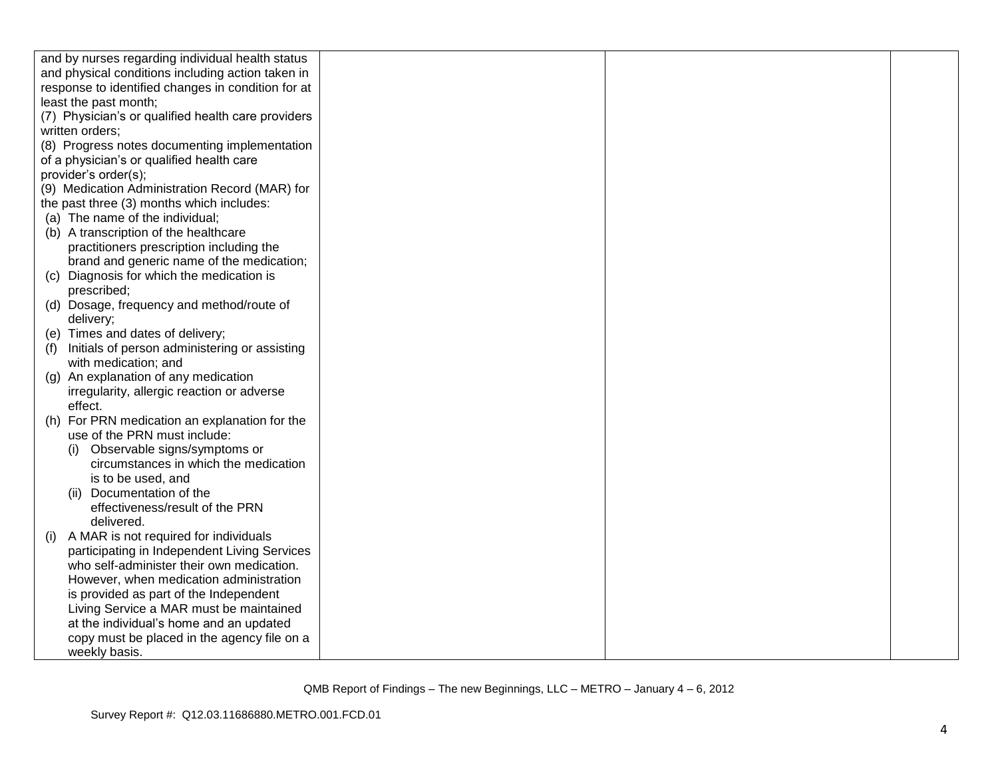|     | and by nurses regarding individual health status   |  |  |
|-----|----------------------------------------------------|--|--|
|     | and physical conditions including action taken in  |  |  |
|     | response to identified changes in condition for at |  |  |
|     | least the past month;                              |  |  |
|     | (7) Physician's or qualified health care providers |  |  |
|     | written orders;                                    |  |  |
|     | (8) Progress notes documenting implementation      |  |  |
|     | of a physician's or qualified health care          |  |  |
|     | provider's order(s);                               |  |  |
|     | (9) Medication Administration Record (MAR) for     |  |  |
|     | the past three (3) months which includes:          |  |  |
|     | (a) The name of the individual;                    |  |  |
|     | (b) A transcription of the healthcare              |  |  |
|     | practitioners prescription including the           |  |  |
|     | brand and generic name of the medication;          |  |  |
|     | (c) Diagnosis for which the medication is          |  |  |
|     | prescribed;                                        |  |  |
|     | (d) Dosage, frequency and method/route of          |  |  |
|     | delivery;                                          |  |  |
|     | (e) Times and dates of delivery;                   |  |  |
| (f) | Initials of person administering or assisting      |  |  |
|     | with medication; and                               |  |  |
|     | (g) An explanation of any medication               |  |  |
|     | irregularity, allergic reaction or adverse         |  |  |
|     | effect.                                            |  |  |
| (h) | For PRN medication an explanation for the          |  |  |
|     | use of the PRN must include:                       |  |  |
|     | Observable signs/symptoms or<br>(i)                |  |  |
|     | circumstances in which the medication              |  |  |
|     | is to be used, and                                 |  |  |
|     | (ii) Documentation of the                          |  |  |
|     | effectiveness/result of the PRN                    |  |  |
|     | delivered.                                         |  |  |
| (i) | A MAR is not required for individuals              |  |  |
|     | participating in Independent Living Services       |  |  |
|     | who self-administer their own medication.          |  |  |
|     | However, when medication administration            |  |  |
|     | is provided as part of the Independent             |  |  |
|     | Living Service a MAR must be maintained            |  |  |
|     | at the individual's home and an updated            |  |  |
|     | copy must be placed in the agency file on a        |  |  |
|     | weekly basis.                                      |  |  |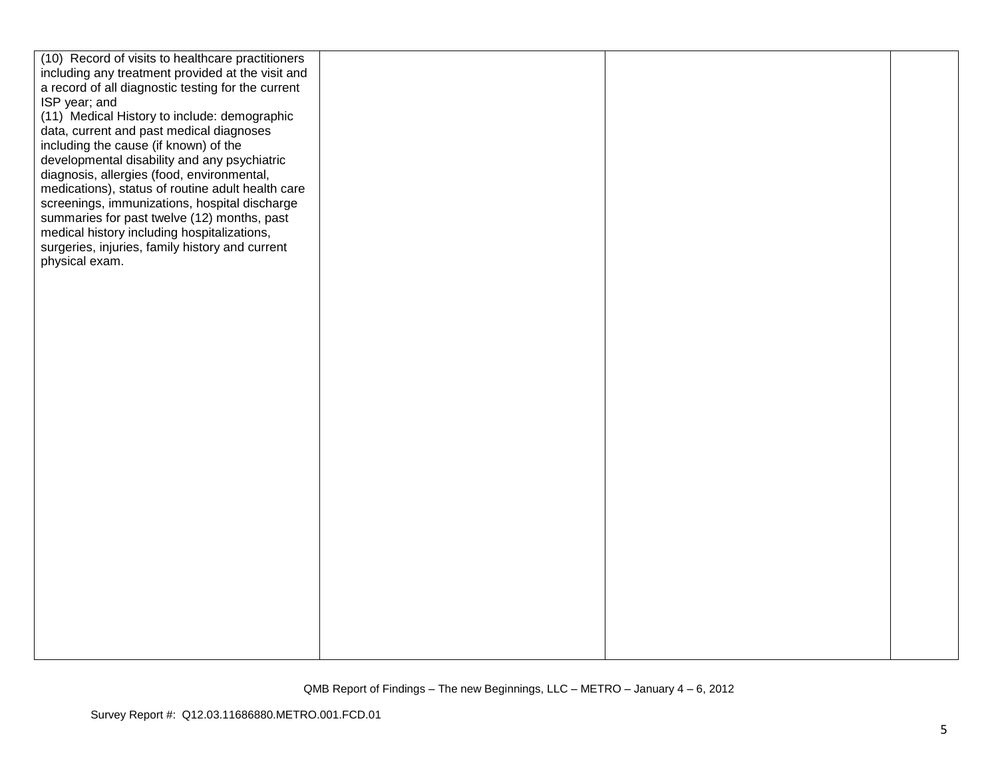| (10) Record of visits to healthcare practitioners  |  |  |
|----------------------------------------------------|--|--|
| including any treatment provided at the visit and  |  |  |
| a record of all diagnostic testing for the current |  |  |
| ISP year; and                                      |  |  |
| (11) Medical History to include: demographic       |  |  |
| data, current and past medical diagnoses           |  |  |
| including the cause (if known) of the              |  |  |
| developmental disability and any psychiatric       |  |  |
| diagnosis, allergies (food, environmental,         |  |  |
| medications), status of routine adult health care  |  |  |
| screenings, immunizations, hospital discharge      |  |  |
| summaries for past twelve (12) months, past        |  |  |
| medical history including hospitalizations,        |  |  |
| surgeries, injuries, family history and current    |  |  |
| physical exam.                                     |  |  |
|                                                    |  |  |
|                                                    |  |  |
|                                                    |  |  |
|                                                    |  |  |
|                                                    |  |  |
|                                                    |  |  |
|                                                    |  |  |
|                                                    |  |  |
|                                                    |  |  |
|                                                    |  |  |
|                                                    |  |  |
|                                                    |  |  |
|                                                    |  |  |
|                                                    |  |  |
|                                                    |  |  |
|                                                    |  |  |
|                                                    |  |  |
|                                                    |  |  |
|                                                    |  |  |
|                                                    |  |  |
|                                                    |  |  |
|                                                    |  |  |
|                                                    |  |  |
|                                                    |  |  |
|                                                    |  |  |
|                                                    |  |  |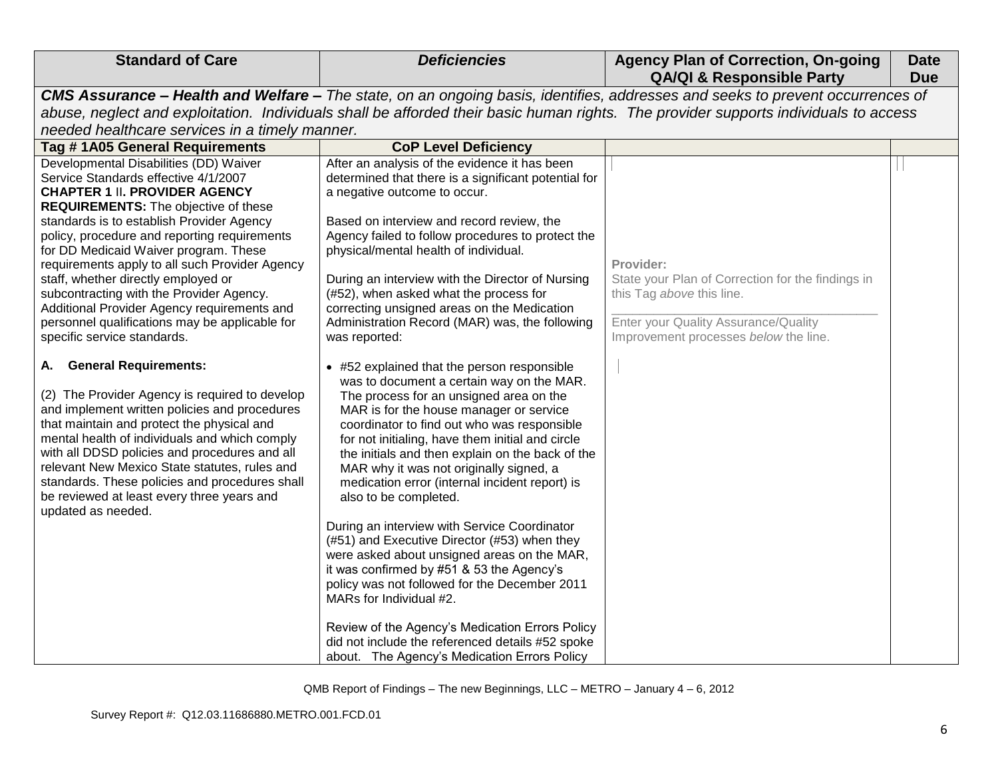| <b>Standard of Care</b>                                                                                                                                                                                                                                                                                                                                                                                                                                                                                                                                                          | <b>Deficiencies</b>                                                                                                                                                                                                                                                                                                                                                                                                                                                                                                                                                                                                                                                                                                                                                                                                                                                                        | <b>Agency Plan of Correction, On-going</b><br><b>QA/QI &amp; Responsible Party</b>                                                                                           | <b>Date</b><br><b>Due</b> |
|----------------------------------------------------------------------------------------------------------------------------------------------------------------------------------------------------------------------------------------------------------------------------------------------------------------------------------------------------------------------------------------------------------------------------------------------------------------------------------------------------------------------------------------------------------------------------------|--------------------------------------------------------------------------------------------------------------------------------------------------------------------------------------------------------------------------------------------------------------------------------------------------------------------------------------------------------------------------------------------------------------------------------------------------------------------------------------------------------------------------------------------------------------------------------------------------------------------------------------------------------------------------------------------------------------------------------------------------------------------------------------------------------------------------------------------------------------------------------------------|------------------------------------------------------------------------------------------------------------------------------------------------------------------------------|---------------------------|
|                                                                                                                                                                                                                                                                                                                                                                                                                                                                                                                                                                                  | CMS Assurance - Health and Welfare - The state, on an ongoing basis, identifies, addresses and seeks to prevent occurrences of                                                                                                                                                                                                                                                                                                                                                                                                                                                                                                                                                                                                                                                                                                                                                             |                                                                                                                                                                              |                           |
|                                                                                                                                                                                                                                                                                                                                                                                                                                                                                                                                                                                  | abuse, neglect and exploitation. Individuals shall be afforded their basic human rights. The provider supports individuals to access                                                                                                                                                                                                                                                                                                                                                                                                                                                                                                                                                                                                                                                                                                                                                       |                                                                                                                                                                              |                           |
| needed healthcare services in a timely manner.                                                                                                                                                                                                                                                                                                                                                                                                                                                                                                                                   |                                                                                                                                                                                                                                                                                                                                                                                                                                                                                                                                                                                                                                                                                                                                                                                                                                                                                            |                                                                                                                                                                              |                           |
| Tag #1A05 General Requirements                                                                                                                                                                                                                                                                                                                                                                                                                                                                                                                                                   | <b>CoP Level Deficiency</b>                                                                                                                                                                                                                                                                                                                                                                                                                                                                                                                                                                                                                                                                                                                                                                                                                                                                |                                                                                                                                                                              |                           |
| Developmental Disabilities (DD) Waiver<br>Service Standards effective 4/1/2007<br><b>CHAPTER 1 II. PROVIDER AGENCY</b><br><b>REQUIREMENTS:</b> The objective of these<br>standards is to establish Provider Agency<br>policy, procedure and reporting requirements<br>for DD Medicaid Waiver program. These<br>requirements apply to all such Provider Agency<br>staff, whether directly employed or<br>subcontracting with the Provider Agency.<br>Additional Provider Agency requirements and<br>personnel qualifications may be applicable for<br>specific service standards. | After an analysis of the evidence it has been<br>determined that there is a significant potential for<br>a negative outcome to occur.<br>Based on interview and record review, the<br>Agency failed to follow procedures to protect the<br>physical/mental health of individual.<br>During an interview with the Director of Nursing<br>(#52), when asked what the process for<br>correcting unsigned areas on the Medication<br>Administration Record (MAR) was, the following<br>was reported:                                                                                                                                                                                                                                                                                                                                                                                           | Provider:<br>State your Plan of Correction for the findings in<br>this Tag above this line.<br>Enter your Quality Assurance/Quality<br>Improvement processes below the line. |                           |
| <b>General Requirements:</b><br>А.<br>(2) The Provider Agency is required to develop<br>and implement written policies and procedures<br>that maintain and protect the physical and<br>mental health of individuals and which comply<br>with all DDSD policies and procedures and all<br>relevant New Mexico State statutes, rules and<br>standards. These policies and procedures shall<br>be reviewed at least every three years and<br>updated as needed.                                                                                                                     | • #52 explained that the person responsible<br>was to document a certain way on the MAR.<br>The process for an unsigned area on the<br>MAR is for the house manager or service<br>coordinator to find out who was responsible<br>for not initialing, have them initial and circle<br>the initials and then explain on the back of the<br>MAR why it was not originally signed, a<br>medication error (internal incident report) is<br>also to be completed.<br>During an interview with Service Coordinator<br>(#51) and Executive Director (#53) when they<br>were asked about unsigned areas on the MAR,<br>it was confirmed by #51 & 53 the Agency's<br>policy was not followed for the December 2011<br>MARs for Individual #2.<br>Review of the Agency's Medication Errors Policy<br>did not include the referenced details #52 spoke<br>about. The Agency's Medication Errors Policy |                                                                                                                                                                              |                           |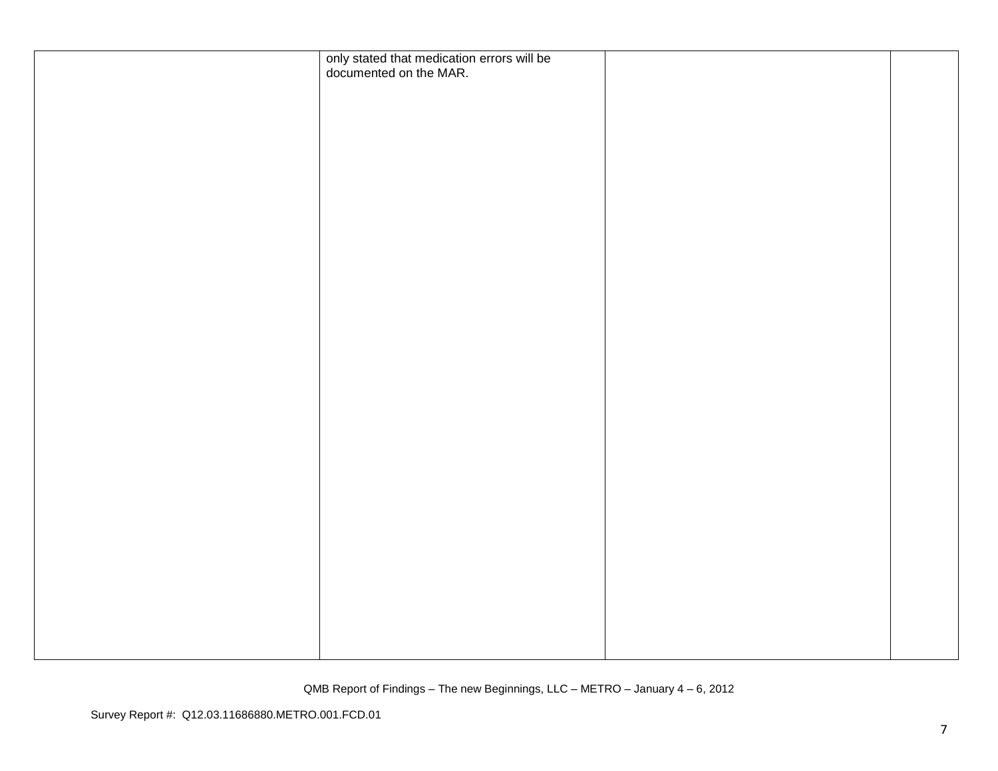| only stated that medication errors will be<br>documented on the MAR. |  |
|----------------------------------------------------------------------|--|
|                                                                      |  |
|                                                                      |  |
|                                                                      |  |
|                                                                      |  |
|                                                                      |  |
|                                                                      |  |
|                                                                      |  |
|                                                                      |  |
|                                                                      |  |
|                                                                      |  |
|                                                                      |  |
|                                                                      |  |
|                                                                      |  |
|                                                                      |  |
|                                                                      |  |
|                                                                      |  |
|                                                                      |  |
|                                                                      |  |
|                                                                      |  |
|                                                                      |  |
|                                                                      |  |
|                                                                      |  |
|                                                                      |  |
|                                                                      |  |
|                                                                      |  |
|                                                                      |  |
|                                                                      |  |
|                                                                      |  |
|                                                                      |  |
|                                                                      |  |
|                                                                      |  |
|                                                                      |  |
|                                                                      |  |
|                                                                      |  |
|                                                                      |  |
|                                                                      |  |
|                                                                      |  |
|                                                                      |  |
|                                                                      |  |
|                                                                      |  |
|                                                                      |  |
|                                                                      |  |
|                                                                      |  |
|                                                                      |  |
|                                                                      |  |
|                                                                      |  |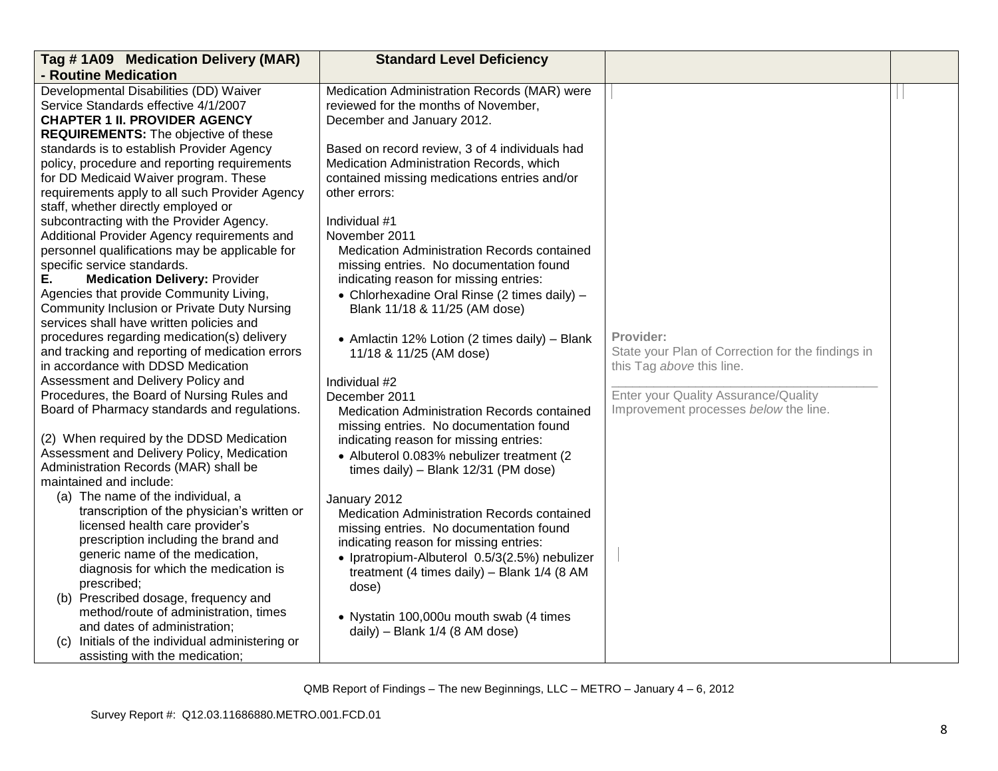| Tag #1A09 Medication Delivery (MAR)                              | <b>Standard Level Deficiency</b>               |                                                   |  |
|------------------------------------------------------------------|------------------------------------------------|---------------------------------------------------|--|
| - Routine Medication                                             |                                                |                                                   |  |
| Developmental Disabilities (DD) Waiver                           | Medication Administration Records (MAR) were   |                                                   |  |
| Service Standards effective 4/1/2007                             | reviewed for the months of November,           |                                                   |  |
| <b>CHAPTER 1 II. PROVIDER AGENCY</b>                             | December and January 2012.                     |                                                   |  |
| <b>REQUIREMENTS:</b> The objective of these                      |                                                |                                                   |  |
| standards is to establish Provider Agency                        | Based on record review, 3 of 4 individuals had |                                                   |  |
| policy, procedure and reporting requirements                     | Medication Administration Records, which       |                                                   |  |
| for DD Medicaid Waiver program. These                            | contained missing medications entries and/or   |                                                   |  |
| requirements apply to all such Provider Agency                   | other errors:                                  |                                                   |  |
| staff, whether directly employed or                              |                                                |                                                   |  |
| subcontracting with the Provider Agency.                         | Individual #1                                  |                                                   |  |
| Additional Provider Agency requirements and                      | November 2011                                  |                                                   |  |
| personnel qualifications may be applicable for                   | Medication Administration Records contained    |                                                   |  |
| specific service standards.                                      | missing entries. No documentation found        |                                                   |  |
| <b>Medication Delivery: Provider</b><br>Е.                       | indicating reason for missing entries:         |                                                   |  |
| Agencies that provide Community Living,                          | • Chlorhexadine Oral Rinse (2 times daily) -   |                                                   |  |
| Community Inclusion or Private Duty Nursing                      | Blank 11/18 & 11/25 (AM dose)                  |                                                   |  |
| services shall have written policies and                         |                                                |                                                   |  |
| procedures regarding medication(s) delivery                      | • Amlactin 12% Lotion (2 times daily) - Blank  | Provider:                                         |  |
| and tracking and reporting of medication errors                  | 11/18 & 11/25 (AM dose)                        | State your Plan of Correction for the findings in |  |
| in accordance with DDSD Medication                               |                                                | this Tag above this line.                         |  |
| Assessment and Delivery Policy and                               | Individual #2                                  |                                                   |  |
| Procedures, the Board of Nursing Rules and                       | December 2011                                  | Enter your Quality Assurance/Quality              |  |
| Board of Pharmacy standards and regulations.                     | Medication Administration Records contained    | Improvement processes below the line.             |  |
|                                                                  | missing entries. No documentation found        |                                                   |  |
| (2) When required by the DDSD Medication                         | indicating reason for missing entries:         |                                                   |  |
| Assessment and Delivery Policy, Medication                       | • Albuterol 0.083% nebulizer treatment (2      |                                                   |  |
| Administration Records (MAR) shall be<br>maintained and include: | times daily) - Blank 12/31 (PM dose)           |                                                   |  |
| (a) The name of the individual, a                                |                                                |                                                   |  |
| transcription of the physician's written or                      | January 2012                                   |                                                   |  |
| licensed health care provider's                                  | Medication Administration Records contained    |                                                   |  |
| prescription including the brand and                             | missing entries. No documentation found        |                                                   |  |
| generic name of the medication,                                  | indicating reason for missing entries:         |                                                   |  |
| diagnosis for which the medication is                            | · Ipratropium-Albuterol 0.5/3(2.5%) nebulizer  |                                                   |  |
| prescribed;                                                      | treatment (4 times daily) - Blank 1/4 (8 AM    |                                                   |  |
| (b) Prescribed dosage, frequency and                             | dose)                                          |                                                   |  |
| method/route of administration, times                            |                                                |                                                   |  |
| and dates of administration;                                     | • Nystatin 100,000u mouth swab (4 times        |                                                   |  |
| Initials of the individual administering or<br>(C)               | daily) - Blank 1/4 (8 AM dose)                 |                                                   |  |
| assisting with the medication;                                   |                                                |                                                   |  |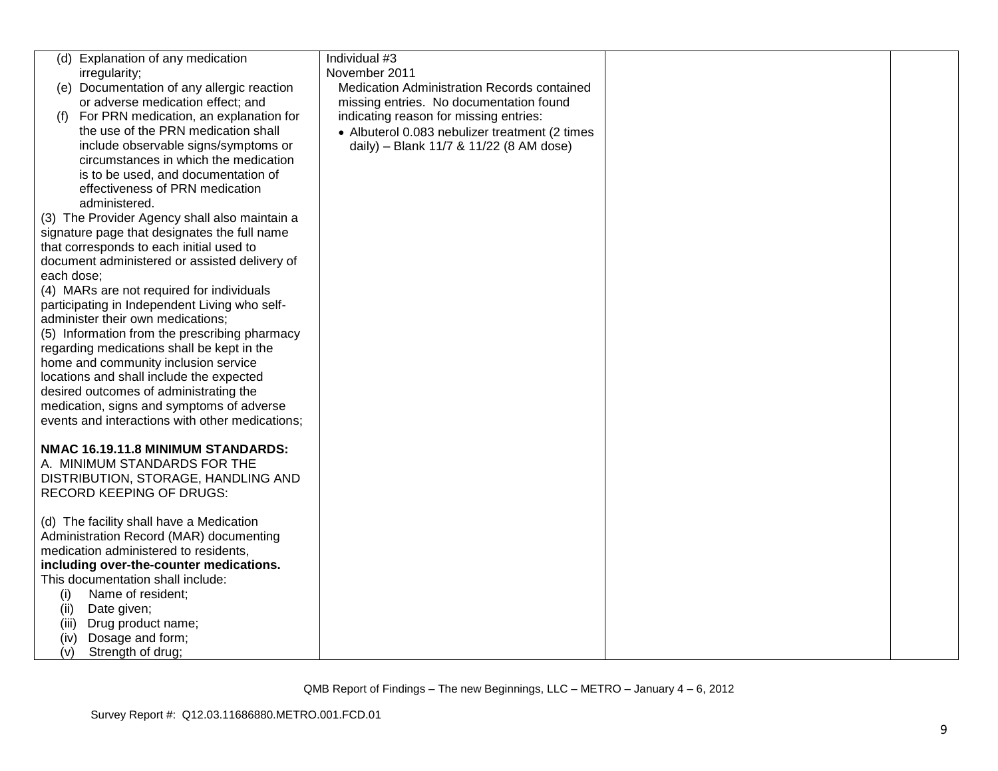| (d) Explanation of any medication<br>irregularity;<br>(e) Documentation of any allergic reaction<br>or adverse medication effect; and<br>For PRN medication, an explanation for<br>(f)<br>the use of the PRN medication shall<br>include observable signs/symptoms or<br>circumstances in which the medication | Individual #3<br>November 2011<br>Medication Administration Records contained<br>missing entries. No documentation found<br>indicating reason for missing entries:<br>• Albuterol 0.083 nebulizer treatment (2 times<br>daily) - Blank 11/7 & 11/22 (8 AM dose) |  |
|----------------------------------------------------------------------------------------------------------------------------------------------------------------------------------------------------------------------------------------------------------------------------------------------------------------|-----------------------------------------------------------------------------------------------------------------------------------------------------------------------------------------------------------------------------------------------------------------|--|
| is to be used, and documentation of<br>effectiveness of PRN medication<br>administered.<br>(3) The Provider Agency shall also maintain a                                                                                                                                                                       |                                                                                                                                                                                                                                                                 |  |
| signature page that designates the full name<br>that corresponds to each initial used to<br>document administered or assisted delivery of<br>each dose:                                                                                                                                                        |                                                                                                                                                                                                                                                                 |  |
| (4) MARs are not required for individuals<br>participating in Independent Living who self-<br>administer their own medications;<br>(5) Information from the prescribing pharmacy<br>regarding medications shall be kept in the                                                                                 |                                                                                                                                                                                                                                                                 |  |
| home and community inclusion service<br>locations and shall include the expected<br>desired outcomes of administrating the<br>medication, signs and symptoms of adverse<br>events and interactions with other medications;                                                                                     |                                                                                                                                                                                                                                                                 |  |
| NMAC 16.19.11.8 MINIMUM STANDARDS:<br>A. MINIMUM STANDARDS FOR THE<br>DISTRIBUTION, STORAGE, HANDLING AND<br><b>RECORD KEEPING OF DRUGS:</b>                                                                                                                                                                   |                                                                                                                                                                                                                                                                 |  |
| (d) The facility shall have a Medication<br>Administration Record (MAR) documenting<br>medication administered to residents,<br>including over-the-counter medications.                                                                                                                                        |                                                                                                                                                                                                                                                                 |  |
| This documentation shall include:<br>Name of resident;<br>(i)<br>Date given;<br>(ii)<br>Drug product name;<br>(iii)                                                                                                                                                                                            |                                                                                                                                                                                                                                                                 |  |
| Dosage and form;<br>(iv)<br>(v)<br>Strength of drug;                                                                                                                                                                                                                                                           |                                                                                                                                                                                                                                                                 |  |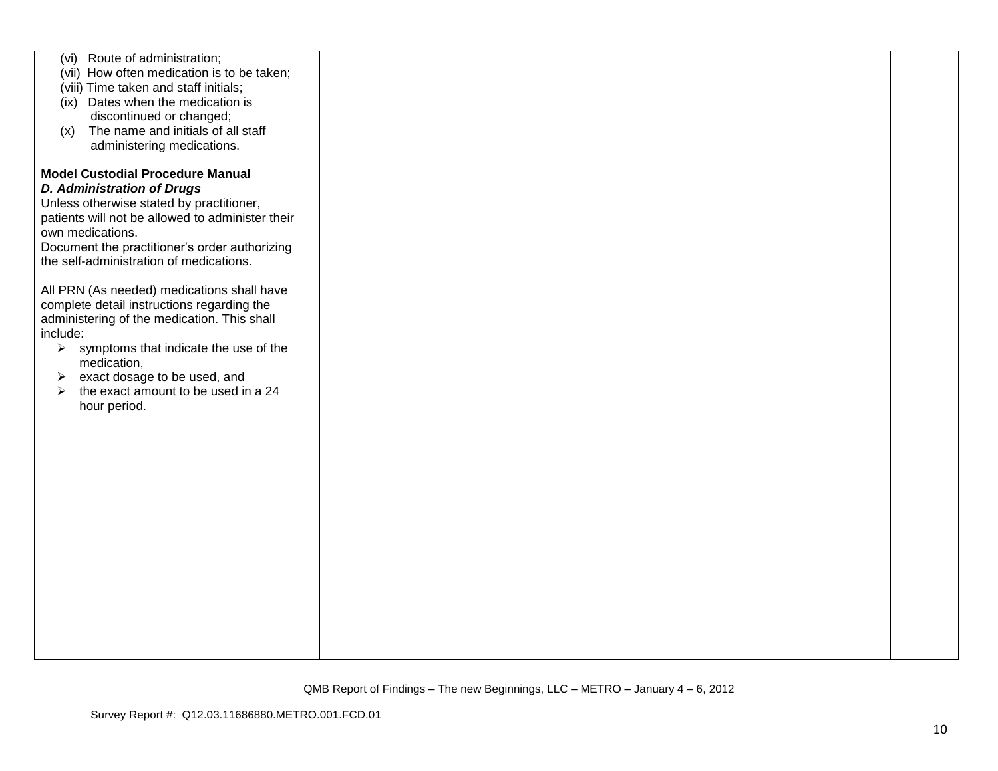| (vi) Route of administration;<br>(vii) How often medication is to be taken;<br>(viii) Time taken and staff initials;<br>(ix) Dates when the medication is<br>discontinued or changed;<br>The name and initials of all staff<br>(x)<br>administering medications.                                                                                  |  |  |
|---------------------------------------------------------------------------------------------------------------------------------------------------------------------------------------------------------------------------------------------------------------------------------------------------------------------------------------------------|--|--|
| <b>Model Custodial Procedure Manual</b><br><b>D. Administration of Drugs</b><br>Unless otherwise stated by practitioner,<br>patients will not be allowed to administer their<br>own medications.<br>Document the practitioner's order authorizing<br>the self-administration of medications.                                                      |  |  |
| All PRN (As needed) medications shall have<br>complete detail instructions regarding the<br>administering of the medication. This shall<br>include:<br>$\triangleright$ symptoms that indicate the use of the<br>medication,<br>exact dosage to be used, and<br>➤<br>the exact amount to be used in a 24<br>$\blacktriangleright$<br>hour period. |  |  |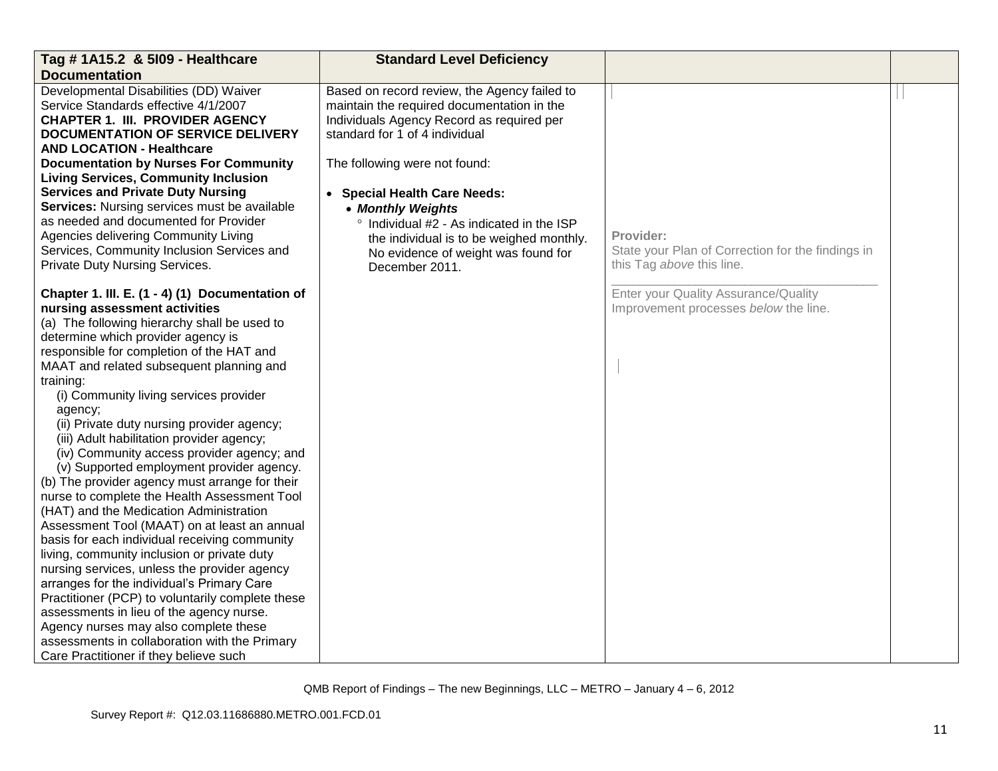| Tag # 1A15.2 & 5109 - Healthcare                                                 | <b>Standard Level Deficiency</b>             |                                                                               |  |
|----------------------------------------------------------------------------------|----------------------------------------------|-------------------------------------------------------------------------------|--|
| <b>Documentation</b>                                                             |                                              |                                                                               |  |
| Developmental Disabilities (DD) Waiver                                           | Based on record review, the Agency failed to |                                                                               |  |
| Service Standards effective 4/1/2007                                             | maintain the required documentation in the   |                                                                               |  |
| <b>CHAPTER 1. III. PROVIDER AGENCY</b>                                           | Individuals Agency Record as required per    |                                                                               |  |
| <b>DOCUMENTATION OF SERVICE DELIVERY</b>                                         | standard for 1 of 4 individual               |                                                                               |  |
| <b>AND LOCATION - Healthcare</b>                                                 |                                              |                                                                               |  |
| <b>Documentation by Nurses For Community</b>                                     | The following were not found:                |                                                                               |  |
| <b>Living Services, Community Inclusion</b>                                      |                                              |                                                                               |  |
| <b>Services and Private Duty Nursing</b>                                         | • Special Health Care Needs:                 |                                                                               |  |
| Services: Nursing services must be available                                     | • Monthly Weights                            |                                                                               |  |
| as needed and documented for Provider                                            | ° Individual #2 - As indicated in the ISP    |                                                                               |  |
| Agencies delivering Community Living                                             | the individual is to be weighed monthly.     | Provider:                                                                     |  |
| Services, Community Inclusion Services and                                       | No evidence of weight was found for          | State your Plan of Correction for the findings in                             |  |
| <b>Private Duty Nursing Services.</b>                                            | December 2011.                               | this Tag above this line.                                                     |  |
|                                                                                  |                                              |                                                                               |  |
| Chapter 1. III. E. (1 - 4) (1) Documentation of<br>nursing assessment activities |                                              | Enter your Quality Assurance/Quality<br>Improvement processes below the line. |  |
| (a) The following hierarchy shall be used to                                     |                                              |                                                                               |  |
| determine which provider agency is                                               |                                              |                                                                               |  |
| responsible for completion of the HAT and                                        |                                              |                                                                               |  |
| MAAT and related subsequent planning and                                         |                                              |                                                                               |  |
| training:                                                                        |                                              |                                                                               |  |
| (i) Community living services provider                                           |                                              |                                                                               |  |
| agency;                                                                          |                                              |                                                                               |  |
| (ii) Private duty nursing provider agency;                                       |                                              |                                                                               |  |
| (iii) Adult habilitation provider agency;                                        |                                              |                                                                               |  |
| (iv) Community access provider agency; and                                       |                                              |                                                                               |  |
| (v) Supported employment provider agency.                                        |                                              |                                                                               |  |
| (b) The provider agency must arrange for their                                   |                                              |                                                                               |  |
| nurse to complete the Health Assessment Tool                                     |                                              |                                                                               |  |
| (HAT) and the Medication Administration                                          |                                              |                                                                               |  |
| Assessment Tool (MAAT) on at least an annual                                     |                                              |                                                                               |  |
| basis for each individual receiving community                                    |                                              |                                                                               |  |
| living, community inclusion or private duty                                      |                                              |                                                                               |  |
| nursing services, unless the provider agency                                     |                                              |                                                                               |  |
| arranges for the individual's Primary Care                                       |                                              |                                                                               |  |
| Practitioner (PCP) to voluntarily complete these                                 |                                              |                                                                               |  |
| assessments in lieu of the agency nurse.                                         |                                              |                                                                               |  |
| Agency nurses may also complete these                                            |                                              |                                                                               |  |
| assessments in collaboration with the Primary                                    |                                              |                                                                               |  |
| Care Practitioner if they believe such                                           |                                              |                                                                               |  |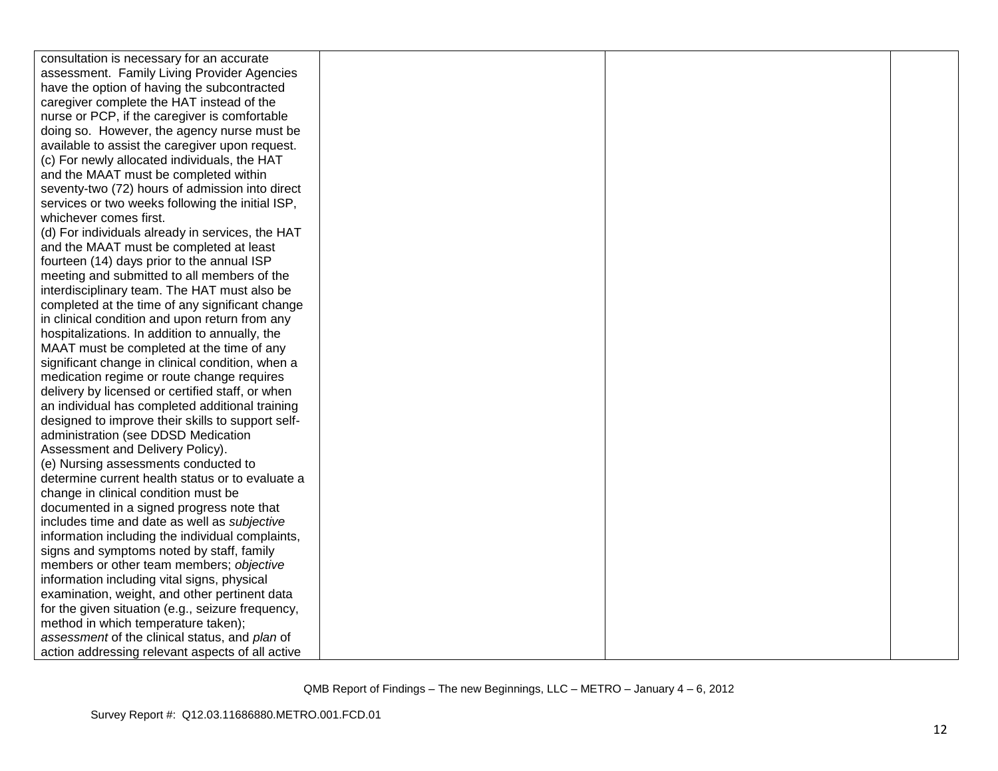| consultation is necessary for an accurate         |  |  |
|---------------------------------------------------|--|--|
| assessment. Family Living Provider Agencies       |  |  |
| have the option of having the subcontracted       |  |  |
| caregiver complete the HAT instead of the         |  |  |
| nurse or PCP, if the caregiver is comfortable     |  |  |
| doing so. However, the agency nurse must be       |  |  |
| available to assist the caregiver upon request.   |  |  |
| (c) For newly allocated individuals, the HAT      |  |  |
| and the MAAT must be completed within             |  |  |
| seventy-two (72) hours of admission into direct   |  |  |
| services or two weeks following the initial ISP,  |  |  |
| whichever comes first.                            |  |  |
| (d) For individuals already in services, the HAT  |  |  |
| and the MAAT must be completed at least           |  |  |
| fourteen (14) days prior to the annual ISP        |  |  |
| meeting and submitted to all members of the       |  |  |
| interdisciplinary team. The HAT must also be      |  |  |
| completed at the time of any significant change   |  |  |
| in clinical condition and upon return from any    |  |  |
| hospitalizations. In addition to annually, the    |  |  |
| MAAT must be completed at the time of any         |  |  |
| significant change in clinical condition, when a  |  |  |
| medication regime or route change requires        |  |  |
| delivery by licensed or certified staff, or when  |  |  |
| an individual has completed additional training   |  |  |
| designed to improve their skills to support self- |  |  |
| administration (see DDSD Medication               |  |  |
| Assessment and Delivery Policy).                  |  |  |
| (e) Nursing assessments conducted to              |  |  |
| determine current health status or to evaluate a  |  |  |
| change in clinical condition must be              |  |  |
| documented in a signed progress note that         |  |  |
| includes time and date as well as subjective      |  |  |
| information including the individual complaints,  |  |  |
| signs and symptoms noted by staff, family         |  |  |
| members or other team members; objective          |  |  |
| information including vital signs, physical       |  |  |
| examination, weight, and other pertinent data     |  |  |
| for the given situation (e.g., seizure frequency, |  |  |
| method in which temperature taken);               |  |  |
| assessment of the clinical status, and plan of    |  |  |
| action addressing relevant aspects of all active  |  |  |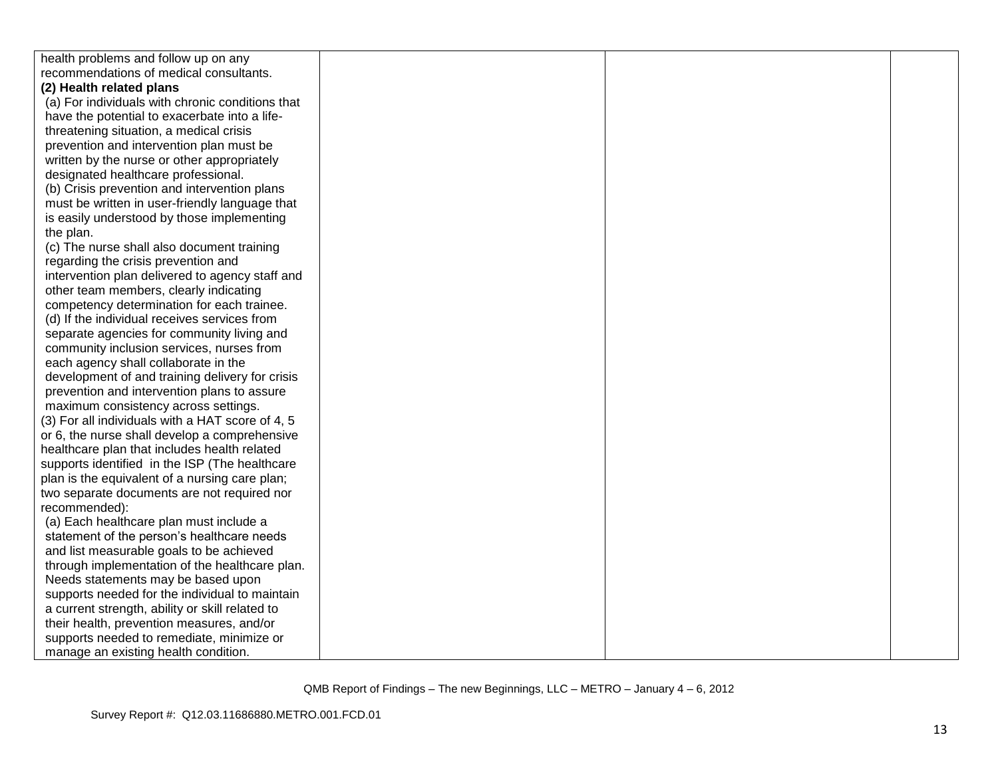| health problems and follow up on any             |  |  |
|--------------------------------------------------|--|--|
| recommendations of medical consultants.          |  |  |
| (2) Health related plans                         |  |  |
| (a) For individuals with chronic conditions that |  |  |
| have the potential to exacerbate into a life-    |  |  |
| threatening situation, a medical crisis          |  |  |
| prevention and intervention plan must be         |  |  |
| written by the nurse or other appropriately      |  |  |
| designated healthcare professional.              |  |  |
| (b) Crisis prevention and intervention plans     |  |  |
| must be written in user-friendly language that   |  |  |
| is easily understood by those implementing       |  |  |
| the plan.                                        |  |  |
| (c) The nurse shall also document training       |  |  |
| regarding the crisis prevention and              |  |  |
| intervention plan delivered to agency staff and  |  |  |
| other team members, clearly indicating           |  |  |
| competency determination for each trainee.       |  |  |
| (d) If the individual receives services from     |  |  |
| separate agencies for community living and       |  |  |
| community inclusion services, nurses from        |  |  |
| each agency shall collaborate in the             |  |  |
| development of and training delivery for crisis  |  |  |
| prevention and intervention plans to assure      |  |  |
| maximum consistency across settings.             |  |  |
| (3) For all individuals with a HAT score of 4, 5 |  |  |
| or 6, the nurse shall develop a comprehensive    |  |  |
| healthcare plan that includes health related     |  |  |
| supports identified in the ISP (The healthcare   |  |  |
| plan is the equivalent of a nursing care plan;   |  |  |
| two separate documents are not required nor      |  |  |
| recommended):                                    |  |  |
| (a) Each healthcare plan must include a          |  |  |
| statement of the person's healthcare needs       |  |  |
| and list measurable goals to be achieved         |  |  |
| through implementation of the healthcare plan.   |  |  |
| Needs statements may be based upon               |  |  |
| supports needed for the individual to maintain   |  |  |
| a current strength, ability or skill related to  |  |  |
| their health, prevention measures, and/or        |  |  |
| supports needed to remediate, minimize or        |  |  |
| manage an existing health condition.             |  |  |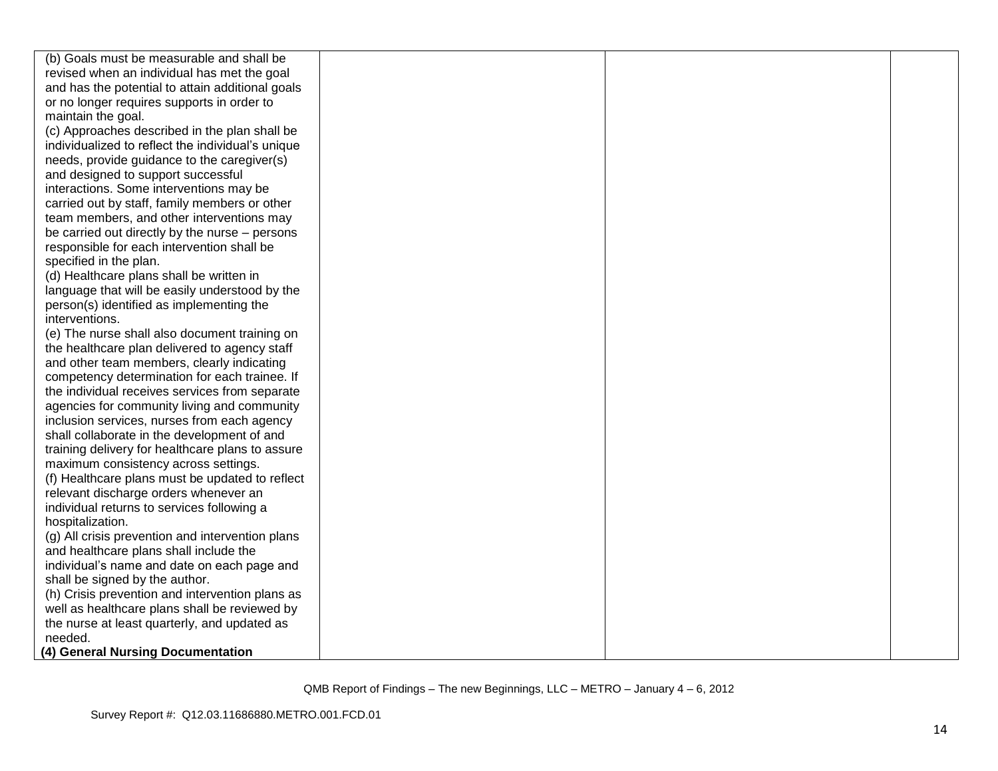| (b) Goals must be measurable and shall be         |  |  |
|---------------------------------------------------|--|--|
| revised when an individual has met the goal       |  |  |
| and has the potential to attain additional goals  |  |  |
| or no longer requires supports in order to        |  |  |
| maintain the goal.                                |  |  |
| (c) Approaches described in the plan shall be     |  |  |
| individualized to reflect the individual's unique |  |  |
| needs, provide guidance to the caregiver(s)       |  |  |
| and designed to support successful                |  |  |
| interactions. Some interventions may be           |  |  |
| carried out by staff, family members or other     |  |  |
| team members, and other interventions may         |  |  |
| be carried out directly by the nurse – persons    |  |  |
| responsible for each intervention shall be        |  |  |
| specified in the plan.                            |  |  |
| (d) Healthcare plans shall be written in          |  |  |
| language that will be easily understood by the    |  |  |
| person(s) identified as implementing the          |  |  |
| interventions.                                    |  |  |
| (e) The nurse shall also document training on     |  |  |
| the healthcare plan delivered to agency staff     |  |  |
| and other team members, clearly indicating        |  |  |
| competency determination for each trainee. If     |  |  |
| the individual receives services from separate    |  |  |
| agencies for community living and community       |  |  |
| inclusion services, nurses from each agency       |  |  |
| shall collaborate in the development of and       |  |  |
| training delivery for healthcare plans to assure  |  |  |
| maximum consistency across settings.              |  |  |
| (f) Healthcare plans must be updated to reflect   |  |  |
| relevant discharge orders whenever an             |  |  |
| individual returns to services following a        |  |  |
| hospitalization.                                  |  |  |
| (g) All crisis prevention and intervention plans  |  |  |
| and healthcare plans shall include the            |  |  |
| individual's name and date on each page and       |  |  |
| shall be signed by the author.                    |  |  |
| (h) Crisis prevention and intervention plans as   |  |  |
| well as healthcare plans shall be reviewed by     |  |  |
| the nurse at least quarterly, and updated as      |  |  |
| needed.                                           |  |  |
| (4) General Nursing Documentation                 |  |  |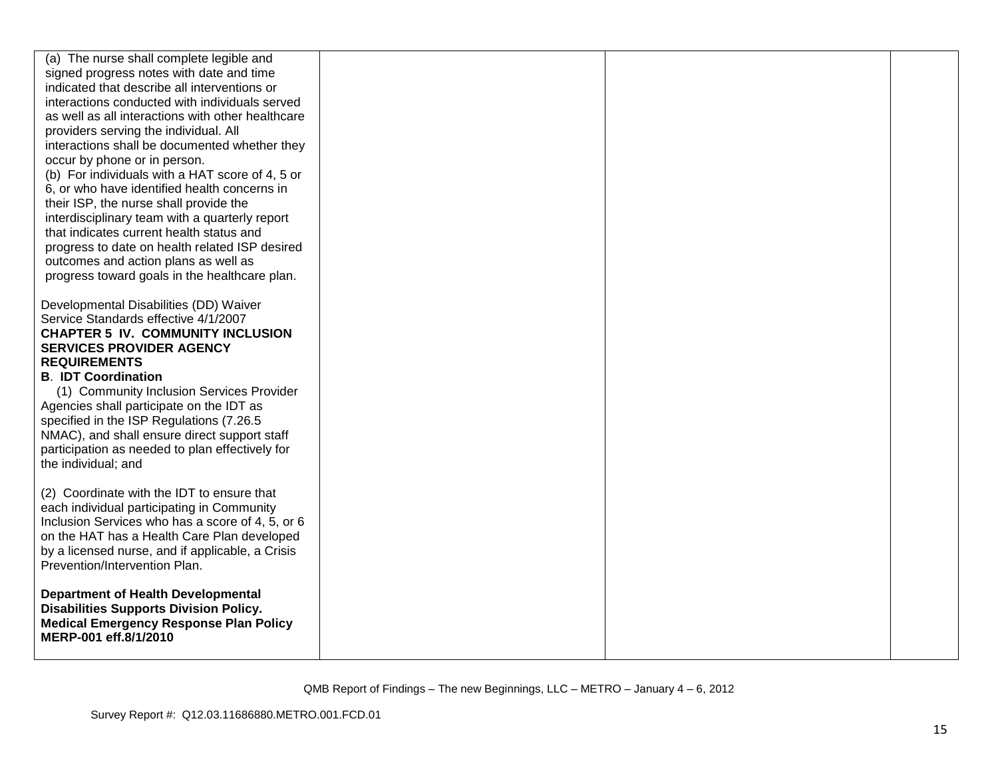| (a) The nurse shall complete legible and<br>signed progress notes with date and time<br>indicated that describe all interventions or<br>interactions conducted with individuals served<br>as well as all interactions with other healthcare<br>providers serving the individual. All<br>interactions shall be documented whether they<br>occur by phone or in person.<br>(b) For individuals with a HAT score of 4, 5 or<br>6, or who have identified health concerns in<br>their ISP, the nurse shall provide the<br>interdisciplinary team with a quarterly report<br>that indicates current health status and<br>progress to date on health related ISP desired<br>outcomes and action plans as well as<br>progress toward goals in the healthcare plan. |  |  |
|-------------------------------------------------------------------------------------------------------------------------------------------------------------------------------------------------------------------------------------------------------------------------------------------------------------------------------------------------------------------------------------------------------------------------------------------------------------------------------------------------------------------------------------------------------------------------------------------------------------------------------------------------------------------------------------------------------------------------------------------------------------|--|--|
| Developmental Disabilities (DD) Waiver<br>Service Standards effective 4/1/2007<br><b>CHAPTER 5 IV. COMMUNITY INCLUSION</b><br><b>SERVICES PROVIDER AGENCY</b><br><b>REQUIREMENTS</b><br><b>B. IDT Coordination</b><br>(1) Community Inclusion Services Provider<br>Agencies shall participate on the IDT as<br>specified in the ISP Regulations (7.26.5)<br>NMAC), and shall ensure direct support staff<br>participation as needed to plan effectively for<br>the individual; and                                                                                                                                                                                                                                                                          |  |  |
| (2) Coordinate with the IDT to ensure that<br>each individual participating in Community<br>Inclusion Services who has a score of 4, 5, or 6<br>on the HAT has a Health Care Plan developed<br>by a licensed nurse, and if applicable, a Crisis<br>Prevention/Intervention Plan.                                                                                                                                                                                                                                                                                                                                                                                                                                                                            |  |  |
| <b>Department of Health Developmental</b><br><b>Disabilities Supports Division Policy.</b><br><b>Medical Emergency Response Plan Policy</b><br>MERP-001 eff.8/1/2010                                                                                                                                                                                                                                                                                                                                                                                                                                                                                                                                                                                        |  |  |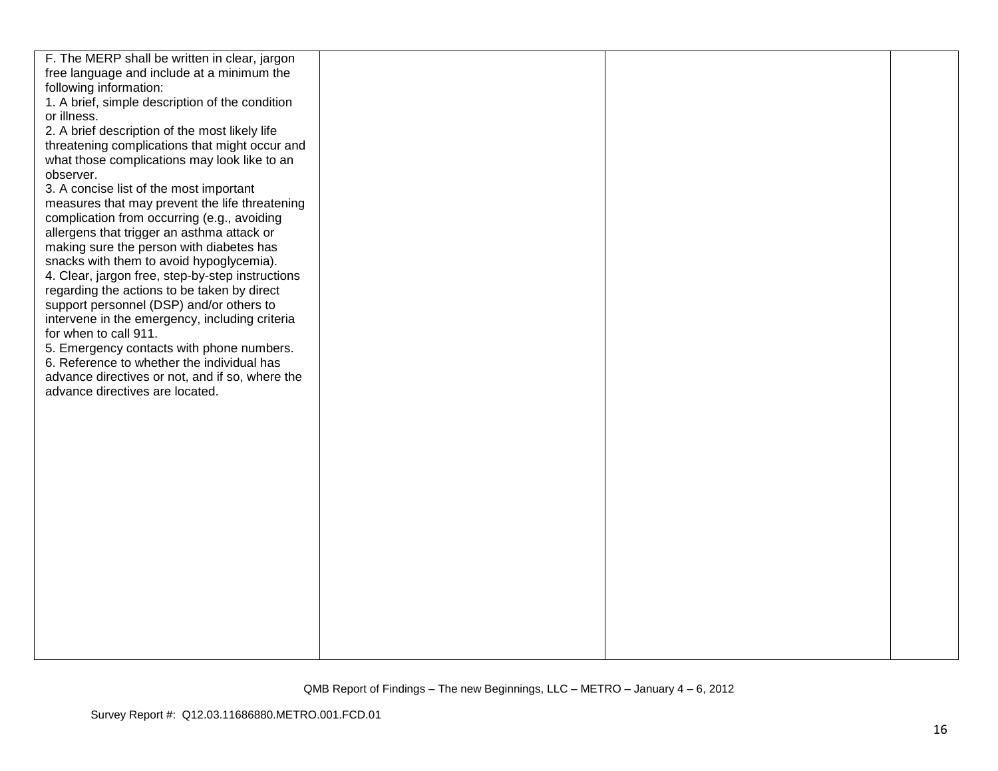| F. The MERP shall be written in clear, jargon                                      |  |  |
|------------------------------------------------------------------------------------|--|--|
| free language and include at a minimum the                                         |  |  |
| following information:                                                             |  |  |
| 1. A brief, simple description of the condition                                    |  |  |
| or illness.                                                                        |  |  |
| 2. A brief description of the most likely life                                     |  |  |
| threatening complications that might occur and                                     |  |  |
| what those complications may look like to an                                       |  |  |
| observer.                                                                          |  |  |
| 3. A concise list of the most important                                            |  |  |
| measures that may prevent the life threatening                                     |  |  |
| complication from occurring (e.g., avoiding                                        |  |  |
| allergens that trigger an asthma attack or                                         |  |  |
| making sure the person with diabetes has                                           |  |  |
| snacks with them to avoid hypoglycemia).                                           |  |  |
| 4. Clear, jargon free, step-by-step instructions                                   |  |  |
| regarding the actions to be taken by direct                                        |  |  |
| support personnel (DSP) and/or others to                                           |  |  |
| intervene in the emergency, including criteria                                     |  |  |
| for when to call 911.                                                              |  |  |
| 5. Emergency contacts with phone numbers.                                          |  |  |
| 6. Reference to whether the individual has                                         |  |  |
| advance directives or not, and if so, where the<br>advance directives are located. |  |  |
|                                                                                    |  |  |
|                                                                                    |  |  |
|                                                                                    |  |  |
|                                                                                    |  |  |
|                                                                                    |  |  |
|                                                                                    |  |  |
|                                                                                    |  |  |
|                                                                                    |  |  |
|                                                                                    |  |  |
|                                                                                    |  |  |
|                                                                                    |  |  |
|                                                                                    |  |  |
|                                                                                    |  |  |
|                                                                                    |  |  |
|                                                                                    |  |  |
|                                                                                    |  |  |
|                                                                                    |  |  |
|                                                                                    |  |  |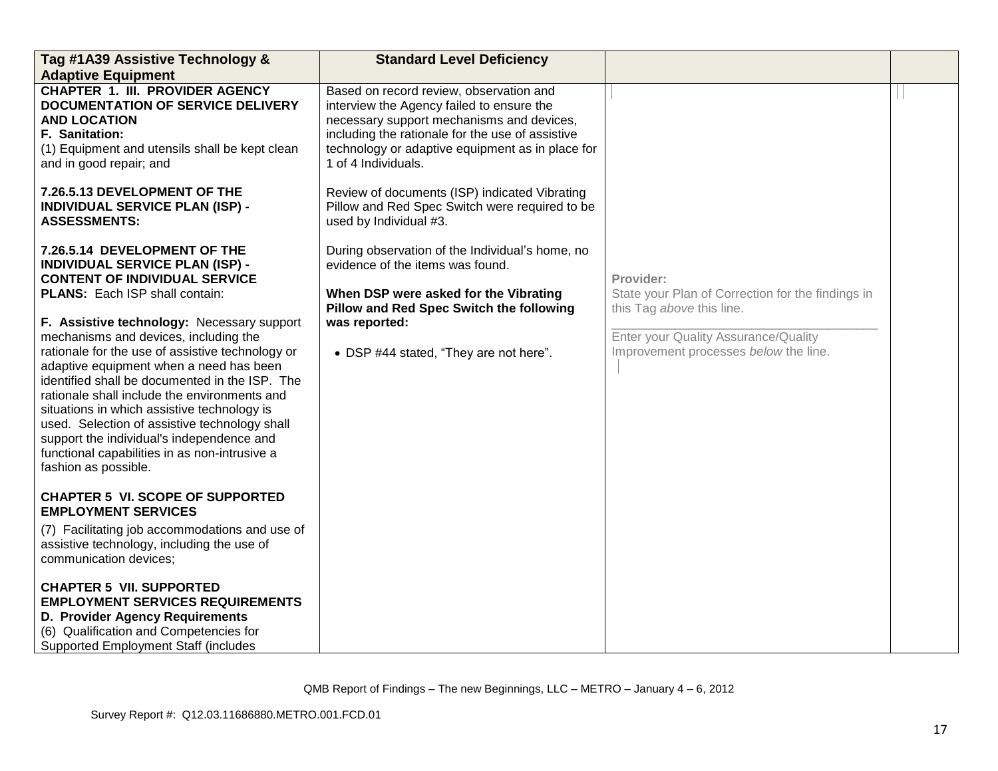| Tag #1A39 Assistive Technology &<br><b>Adaptive Equipment</b>                                                                                                                                                                                                                                                                                                                                                                                                                                                                                                                                                                                                         | <b>Standard Level Deficiency</b>                                                                                                                                                                                                                                 |                                                                                                                                                                              |  |
|-----------------------------------------------------------------------------------------------------------------------------------------------------------------------------------------------------------------------------------------------------------------------------------------------------------------------------------------------------------------------------------------------------------------------------------------------------------------------------------------------------------------------------------------------------------------------------------------------------------------------------------------------------------------------|------------------------------------------------------------------------------------------------------------------------------------------------------------------------------------------------------------------------------------------------------------------|------------------------------------------------------------------------------------------------------------------------------------------------------------------------------|--|
| <b>CHAPTER 1. III. PROVIDER AGENCY</b><br>DOCUMENTATION OF SERVICE DELIVERY<br><b>AND LOCATION</b><br>F. Sanitation:<br>(1) Equipment and utensils shall be kept clean<br>and in good repair; and                                                                                                                                                                                                                                                                                                                                                                                                                                                                     | Based on record review, observation and<br>interview the Agency failed to ensure the<br>necessary support mechanisms and devices,<br>including the rationale for the use of assistive<br>technology or adaptive equipment as in place for<br>1 of 4 Individuals. |                                                                                                                                                                              |  |
| 7.26.5.13 DEVELOPMENT OF THE<br><b>INDIVIDUAL SERVICE PLAN (ISP) -</b><br><b>ASSESSMENTS:</b>                                                                                                                                                                                                                                                                                                                                                                                                                                                                                                                                                                         | Review of documents (ISP) indicated Vibrating<br>Pillow and Red Spec Switch were required to be<br>used by Individual #3.                                                                                                                                        |                                                                                                                                                                              |  |
| 7.26.5.14 DEVELOPMENT OF THE<br><b>INDIVIDUAL SERVICE PLAN (ISP) -</b><br><b>CONTENT OF INDIVIDUAL SERVICE</b><br><b>PLANS:</b> Each ISP shall contain:<br>F. Assistive technology: Necessary support<br>mechanisms and devices, including the<br>rationale for the use of assistive technology or<br>adaptive equipment when a need has been<br>identified shall be documented in the ISP. The<br>rationale shall include the environments and<br>situations in which assistive technology is<br>used. Selection of assistive technology shall<br>support the individual's independence and<br>functional capabilities in as non-intrusive a<br>fashion as possible. | During observation of the Individual's home, no<br>evidence of the items was found.<br>When DSP were asked for the Vibrating<br>Pillow and Red Spec Switch the following<br>was reported:<br>• DSP #44 stated, "They are not here".                              | Provider:<br>State your Plan of Correction for the findings in<br>this Tag above this line.<br>Enter your Quality Assurance/Quality<br>Improvement processes below the line. |  |
| <b>CHAPTER 5 VI. SCOPE OF SUPPORTED</b><br><b>EMPLOYMENT SERVICES</b><br>(7) Facilitating job accommodations and use of<br>assistive technology, including the use of<br>communication devices;                                                                                                                                                                                                                                                                                                                                                                                                                                                                       |                                                                                                                                                                                                                                                                  |                                                                                                                                                                              |  |
| <b>CHAPTER 5 VII. SUPPORTED</b><br><b>EMPLOYMENT SERVICES REQUIREMENTS</b><br>D. Provider Agency Requirements<br>(6) Qualification and Competencies for<br><b>Supported Employment Staff (includes</b>                                                                                                                                                                                                                                                                                                                                                                                                                                                                |                                                                                                                                                                                                                                                                  |                                                                                                                                                                              |  |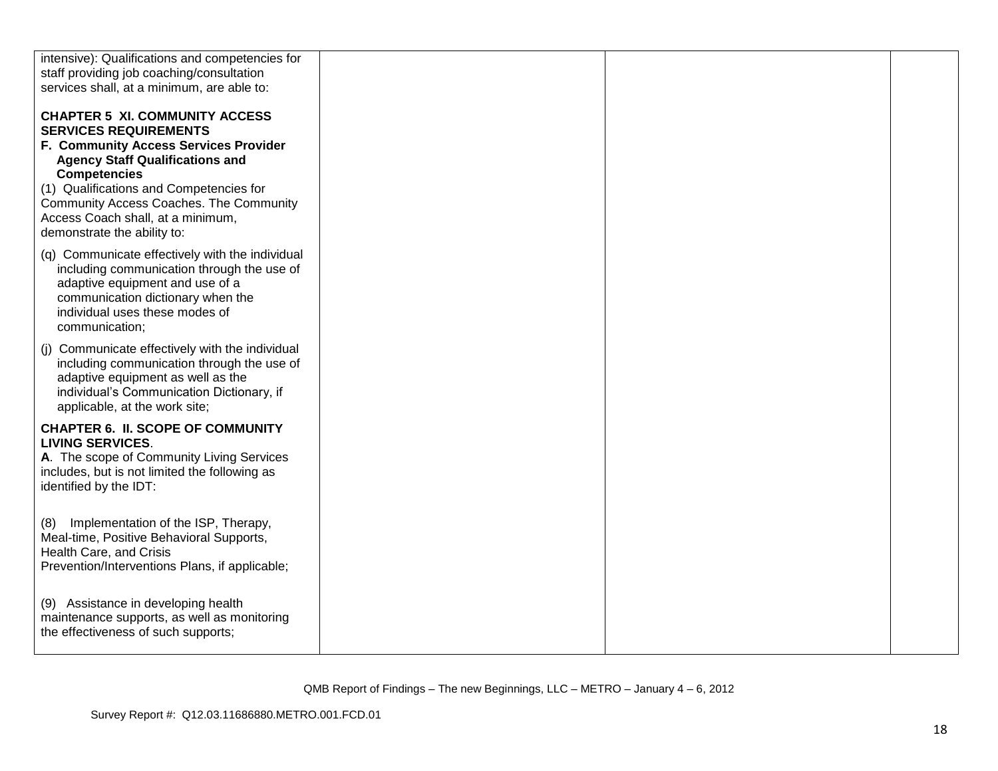| intensive): Qualifications and competencies for                                                                                                                                                                           |  |  |
|---------------------------------------------------------------------------------------------------------------------------------------------------------------------------------------------------------------------------|--|--|
| staff providing job coaching/consultation                                                                                                                                                                                 |  |  |
| services shall, at a minimum, are able to:                                                                                                                                                                                |  |  |
| <b>CHAPTER 5 XI. COMMUNITY ACCESS</b><br><b>SERVICES REQUIREMENTS</b><br>F. Community Access Services Provider                                                                                                            |  |  |
| <b>Agency Staff Qualifications and</b><br><b>Competencies</b>                                                                                                                                                             |  |  |
| (1) Qualifications and Competencies for<br>Community Access Coaches. The Community<br>Access Coach shall, at a minimum,<br>demonstrate the ability to:                                                                    |  |  |
| (q) Communicate effectively with the individual<br>including communication through the use of<br>adaptive equipment and use of a<br>communication dictionary when the<br>individual uses these modes of<br>communication; |  |  |
| (j) Communicate effectively with the individual<br>including communication through the use of<br>adaptive equipment as well as the<br>individual's Communication Dictionary, if<br>applicable, at the work site;          |  |  |
| <b>CHAPTER 6. II. SCOPE OF COMMUNITY</b><br><b>LIVING SERVICES.</b><br>A. The scope of Community Living Services<br>includes, but is not limited the following as<br>identified by the IDT:                               |  |  |
| Implementation of the ISP, Therapy,<br>(8)<br>Meal-time, Positive Behavioral Supports,<br>Health Care, and Crisis<br>Prevention/Interventions Plans, if applicable;                                                       |  |  |
| (9) Assistance in developing health<br>maintenance supports, as well as monitoring<br>the effectiveness of such supports;                                                                                                 |  |  |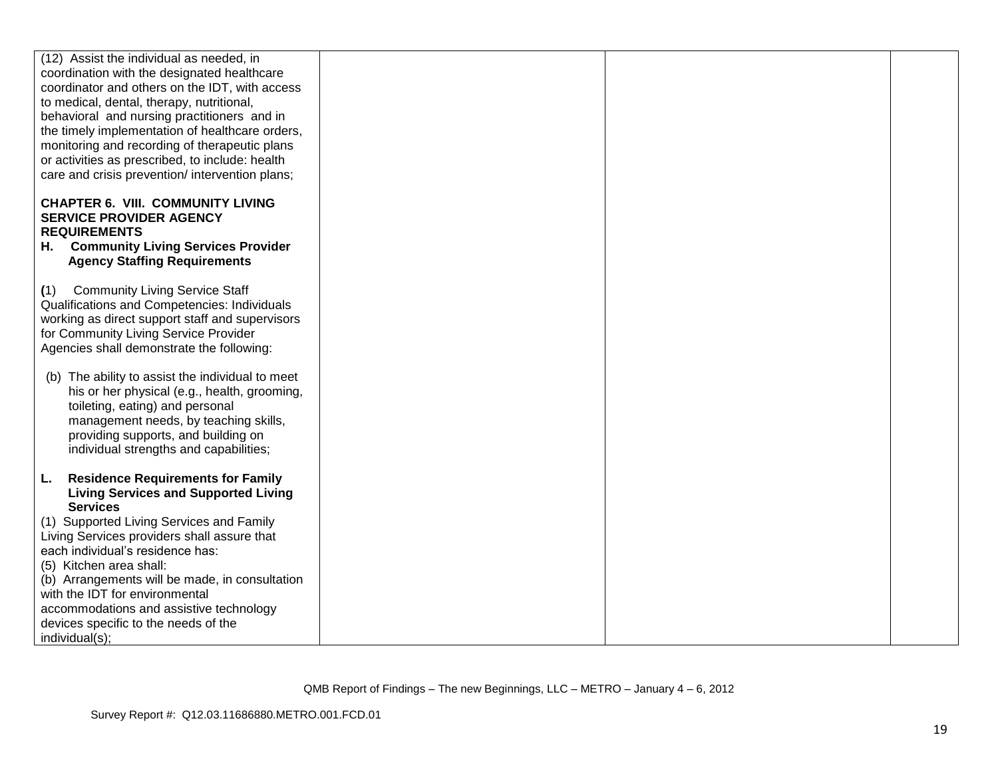| (12) Assist the individual as needed, in         |  |  |
|--------------------------------------------------|--|--|
| coordination with the designated healthcare      |  |  |
| coordinator and others on the IDT, with access   |  |  |
| to medical, dental, therapy, nutritional,        |  |  |
| behavioral and nursing practitioners and in      |  |  |
|                                                  |  |  |
| the timely implementation of healthcare orders,  |  |  |
| monitoring and recording of therapeutic plans    |  |  |
| or activities as prescribed, to include: health  |  |  |
| care and crisis prevention/ intervention plans;  |  |  |
|                                                  |  |  |
| <b>CHAPTER 6. VIII. COMMUNITY LIVING</b>         |  |  |
| <b>SERVICE PROVIDER AGENCY</b>                   |  |  |
| <b>REQUIREMENTS</b>                              |  |  |
| <b>Community Living Services Provider</b>        |  |  |
| н.                                               |  |  |
| <b>Agency Staffing Requirements</b>              |  |  |
|                                                  |  |  |
| <b>Community Living Service Staff</b><br>(1)     |  |  |
| Qualifications and Competencies: Individuals     |  |  |
| working as direct support staff and supervisors  |  |  |
| for Community Living Service Provider            |  |  |
| Agencies shall demonstrate the following:        |  |  |
|                                                  |  |  |
| (b) The ability to assist the individual to meet |  |  |
|                                                  |  |  |
| his or her physical (e.g., health, grooming,     |  |  |
| toileting, eating) and personal                  |  |  |
| management needs, by teaching skills,            |  |  |
| providing supports, and building on              |  |  |
| individual strengths and capabilities;           |  |  |
|                                                  |  |  |
| <b>Residence Requirements for Family</b><br>L.   |  |  |
| <b>Living Services and Supported Living</b>      |  |  |
| <b>Services</b>                                  |  |  |
| (1) Supported Living Services and Family         |  |  |
| Living Services providers shall assure that      |  |  |
|                                                  |  |  |
| each individual's residence has:                 |  |  |
| (5) Kitchen area shall:                          |  |  |
| (b) Arrangements will be made, in consultation   |  |  |
| with the IDT for environmental                   |  |  |
| accommodations and assistive technology          |  |  |
| devices specific to the needs of the             |  |  |
| individual(s);                                   |  |  |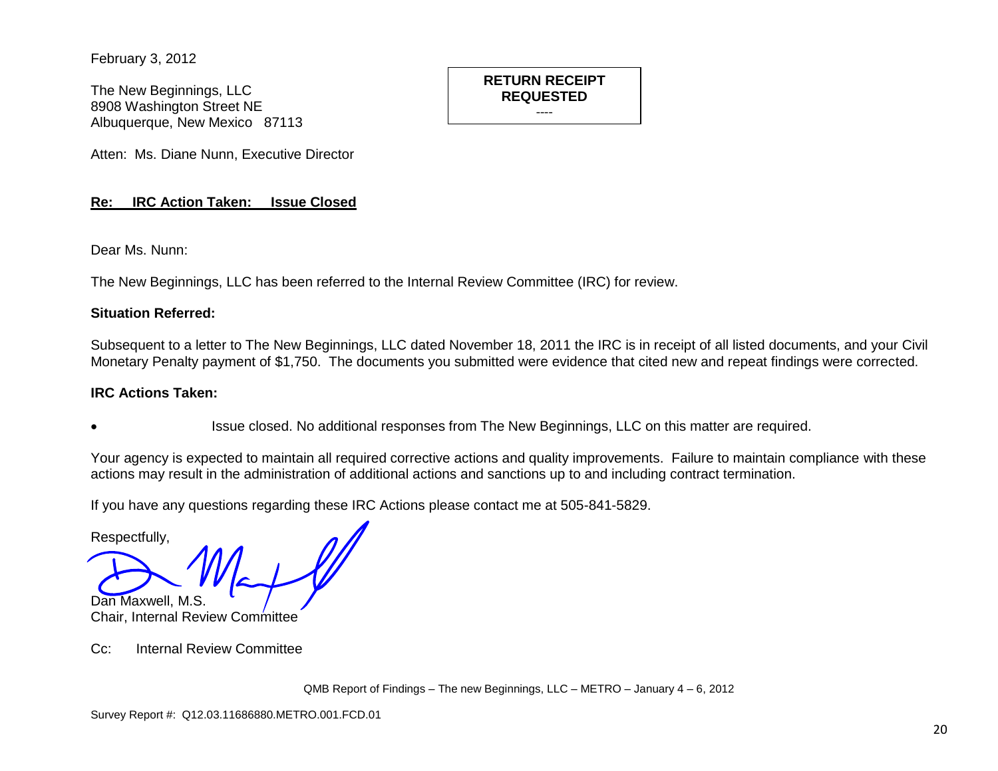February 3, 2012

The New Beginnings, LLC 8908 Washington Street NE Albuquerque, New Mexico 87113

Atten: Ms. Diane Nunn, Executive Director

## **Re: IRC Action Taken: Issue Closed**

Dear Ms. Nunn:

The New Beginnings, LLC has been referred to the Internal Review Committee (IRC) for review.

### **Situation Referred:**

Subsequent to a letter to The New Beginnings, LLC dated November 18, 2011 the IRC is in receipt of all listed documents, and your Civil Monetary Penalty payment of \$1,750. The documents you submitted were evidence that cited new and repeat findings were corrected.

**RETURN RECEIPT REQUESTED** ----

### **IRC Actions Taken:**

Issue closed. No additional responses from The New Beginnings, LLC on this matter are required.

Your agency is expected to maintain all required corrective actions and quality improvements. Failure to maintain compliance with these actions may result in the administration of additional actions and sanctions up to and including contract termination.

If you have any questions regarding these IRC Actions please contact me at 505-841-5829.

Respectfully,

Dan Maxwell, M.S. Chair, Internal Review Committee

Cc: Internal Review Committee